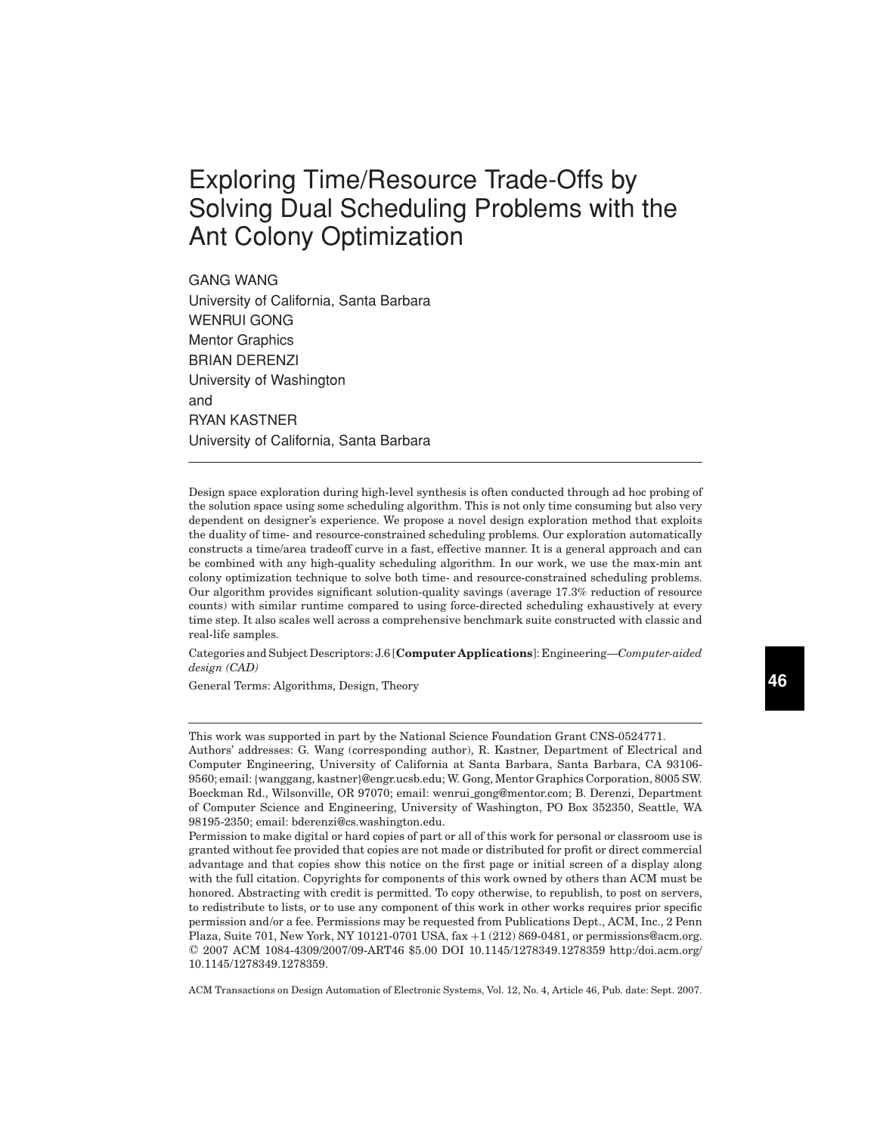# Exploring Time/Resource Trade-Offs by Solving Dual Scheduling Problems with the Ant Colony Optimization

GANG WANG University of California, Santa Barbara WENRUI GONG Mentor Graphics BRIAN DERENZI University of Washington and RYAN KASTNER University of California, Santa Barbara

Design space exploration during high-level synthesis is often conducted through ad hoc probing of the solution space using some scheduling algorithm. This is not only time consuming but also very dependent on designer's experience. We propose a novel design exploration method that exploits the duality of time- and resource-constrained scheduling problems. Our exploration automatically constructs a time/area tradeoff curve in a fast, effective manner. It is a general approach and can be combined with any high-quality scheduling algorithm. In our work, we use the max-min ant colony optimization technique to solve both time- and resource-constrained scheduling problems. Our algorithm provides significant solution-quality savings (average 17.3% reduction of resource counts) with similar runtime compared to using force-directed scheduling exhaustively at every time step. It also scales well across a comprehensive benchmark suite constructed with classic and real-life samples.

Categories and Subject Descriptors: J.6 [**Computer Applications**]: Engineering—*Computer-aided design (CAD)*

General Terms: Algorithms, Design, Theory

This work was supported in part by the National Science Foundation Grant CNS-0524771.

Authors' addresses: G. Wang (corresponding author), R. Kastner, Department of Electrical and Computer Engineering, University of California at Santa Barbara, Santa Barbara, CA 93106- 9560; email: {wanggang, kastner}@engr.ucsb.edu; W. Gong, Mentor Graphics Corporation, 8005 SW. Boeckman Rd., Wilsonville, OR 97070; email: wenrui gong@mentor.com; B. Derenzi, Department of Computer Science and Engineering, University of Washington, PO Box 352350, Seattle, WA 98195-2350; email: bderenzi@cs.washington.edu.

Permission to make digital or hard copies of part or all of this work for personal or classroom use is granted without fee provided that copies are not made or distributed for profit or direct commercial advantage and that copies show this notice on the first page or initial screen of a display along with the full citation. Copyrights for components of this work owned by others than ACM must be honored. Abstracting with credit is permitted. To copy otherwise, to republish, to post on servers, to redistribute to lists, or to use any component of this work in other works requires prior specific permission and/or a fee. Permissions may be requested from Publications Dept., ACM, Inc., 2 Penn Plaza, Suite 701, New York, NY 10121-0701 USA, fax +1 (212) 869-0481, or permissions@acm.org. © 2007 ACM 1084-4309/2007/09-ART46 \$5.00 DOI 10.1145/1278349.1278359 http:/doi.acm.org/ 10.1145/1278349.1278359.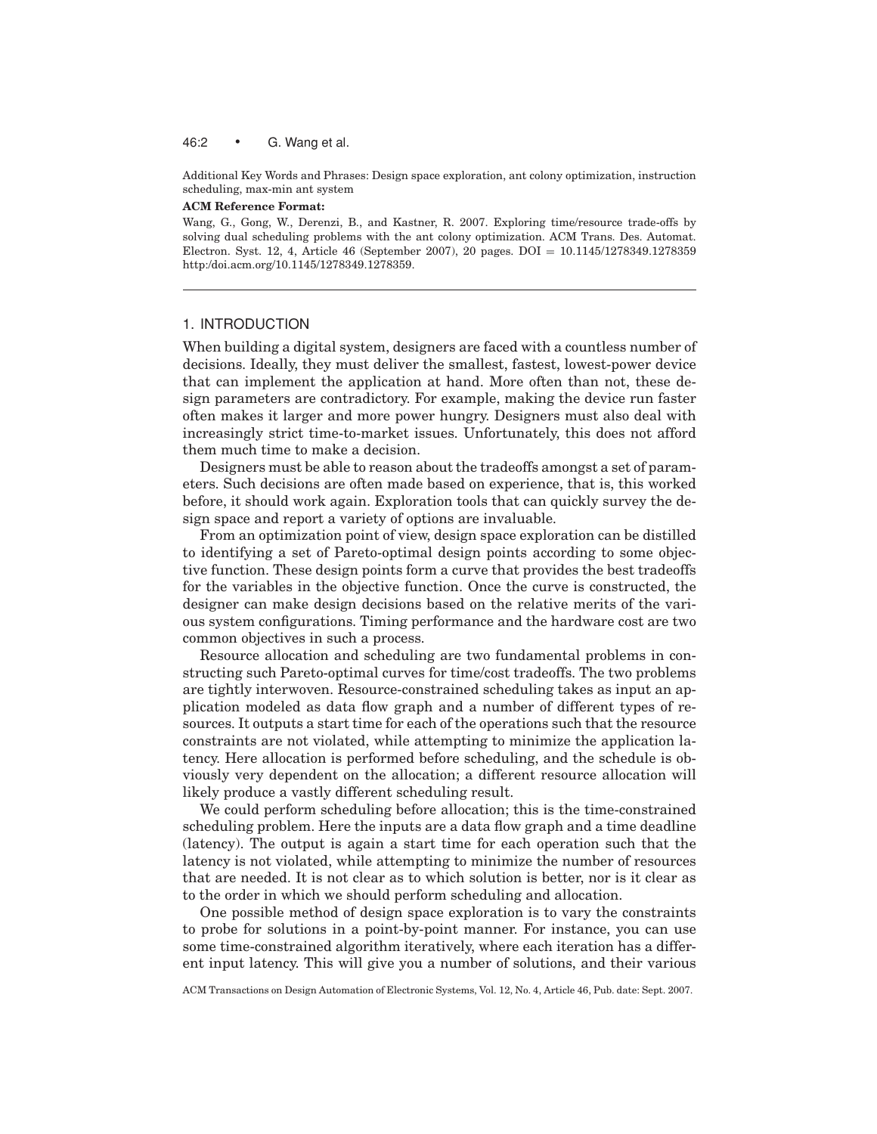### 46:2 • G. Wang et al.

Additional Key Words and Phrases: Design space exploration, ant colony optimization, instruction scheduling, max-min ant system

#### **ACM Reference Format:**

Wang, G., Gong, W., Derenzi, B., and Kastner, R. 2007. Exploring time/resource trade-offs by solving dual scheduling problems with the ant colony optimization. ACM Trans. Des. Automat. Electron. Syst. 12, 4, Article 46 (September 2007), 20 pages. DOI = 10.1145/1278349.1278359 http:/doi.acm.org/10.1145/1278349.1278359.

## 1. INTRODUCTION

When building a digital system, designers are faced with a countless number of decisions. Ideally, they must deliver the smallest, fastest, lowest-power device that can implement the application at hand. More often than not, these design parameters are contradictory. For example, making the device run faster often makes it larger and more power hungry. Designers must also deal with increasingly strict time-to-market issues. Unfortunately, this does not afford them much time to make a decision.

Designers must be able to reason about the tradeoffs amongst a set of parameters. Such decisions are often made based on experience, that is, this worked before, it should work again. Exploration tools that can quickly survey the design space and report a variety of options are invaluable.

From an optimization point of view, design space exploration can be distilled to identifying a set of Pareto-optimal design points according to some objective function. These design points form a curve that provides the best tradeoffs for the variables in the objective function. Once the curve is constructed, the designer can make design decisions based on the relative merits of the various system configurations. Timing performance and the hardware cost are two common objectives in such a process.

Resource allocation and scheduling are two fundamental problems in constructing such Pareto-optimal curves for time/cost tradeoffs. The two problems are tightly interwoven. Resource-constrained scheduling takes as input an application modeled as data flow graph and a number of different types of resources. It outputs a start time for each of the operations such that the resource constraints are not violated, while attempting to minimize the application latency. Here allocation is performed before scheduling, and the schedule is obviously very dependent on the allocation; a different resource allocation will likely produce a vastly different scheduling result.

We could perform scheduling before allocation; this is the time-constrained scheduling problem. Here the inputs are a data flow graph and a time deadline (latency). The output is again a start time for each operation such that the latency is not violated, while attempting to minimize the number of resources that are needed. It is not clear as to which solution is better, nor is it clear as to the order in which we should perform scheduling and allocation.

One possible method of design space exploration is to vary the constraints to probe for solutions in a point-by-point manner. For instance, you can use some time-constrained algorithm iteratively, where each iteration has a different input latency. This will give you a number of solutions, and their various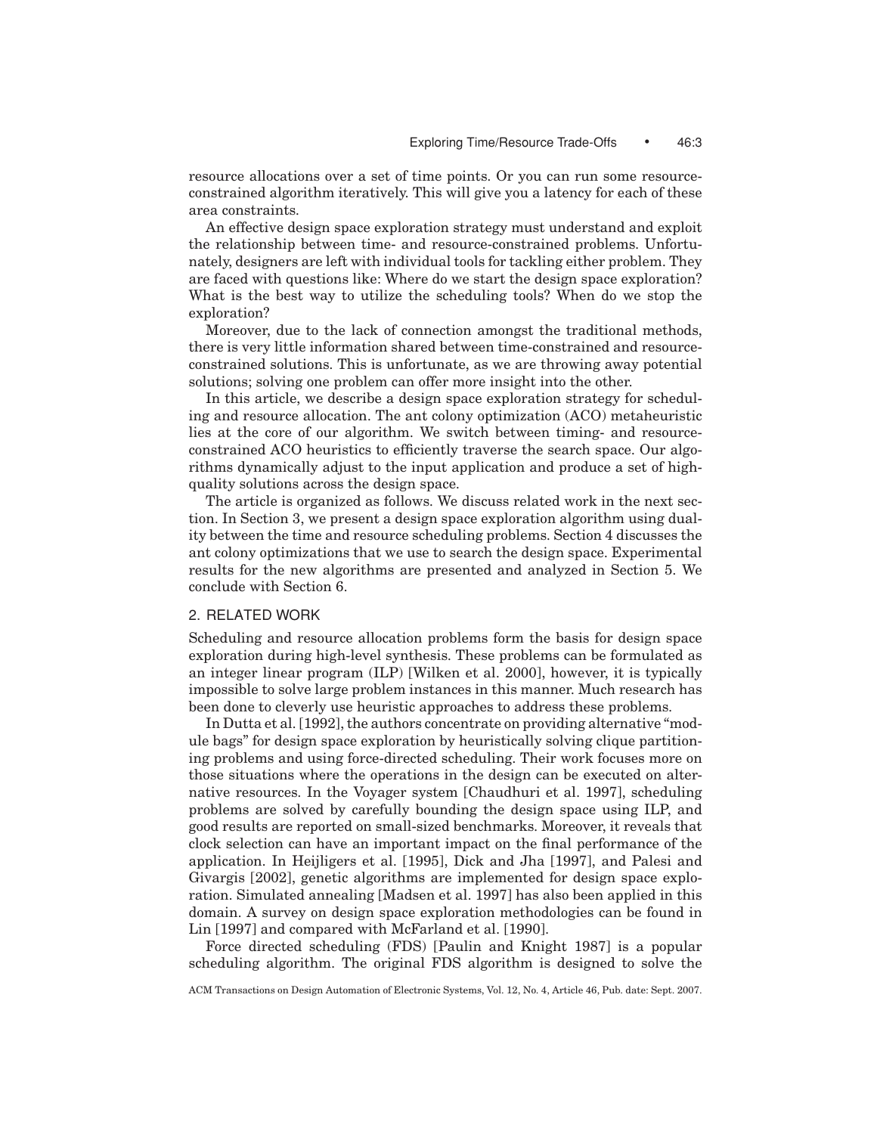resource allocations over a set of time points. Or you can run some resourceconstrained algorithm iteratively. This will give you a latency for each of these area constraints.

An effective design space exploration strategy must understand and exploit the relationship between time- and resource-constrained problems. Unfortunately, designers are left with individual tools for tackling either problem. They are faced with questions like: Where do we start the design space exploration? What is the best way to utilize the scheduling tools? When do we stop the exploration?

Moreover, due to the lack of connection amongst the traditional methods, there is very little information shared between time-constrained and resourceconstrained solutions. This is unfortunate, as we are throwing away potential solutions; solving one problem can offer more insight into the other.

In this article, we describe a design space exploration strategy for scheduling and resource allocation. The ant colony optimization (ACO) metaheuristic lies at the core of our algorithm. We switch between timing- and resourceconstrained ACO heuristics to efficiently traverse the search space. Our algorithms dynamically adjust to the input application and produce a set of highquality solutions across the design space.

The article is organized as follows. We discuss related work in the next section. In Section 3, we present a design space exploration algorithm using duality between the time and resource scheduling problems. Section 4 discusses the ant colony optimizations that we use to search the design space. Experimental results for the new algorithms are presented and analyzed in Section 5. We conclude with Section 6.

## 2. RELATED WORK

Scheduling and resource allocation problems form the basis for design space exploration during high-level synthesis. These problems can be formulated as an integer linear program (ILP) [Wilken et al. 2000], however, it is typically impossible to solve large problem instances in this manner. Much research has been done to cleverly use heuristic approaches to address these problems.

In Dutta et al. [1992], the authors concentrate on providing alternative "module bags" for design space exploration by heuristically solving clique partitioning problems and using force-directed scheduling. Their work focuses more on those situations where the operations in the design can be executed on alternative resources. In the Voyager system [Chaudhuri et al. 1997], scheduling problems are solved by carefully bounding the design space using ILP, and good results are reported on small-sized benchmarks. Moreover, it reveals that clock selection can have an important impact on the final performance of the application. In Heijligers et al. [1995], Dick and Jha [1997], and Palesi and Givargis [2002], genetic algorithms are implemented for design space exploration. Simulated annealing [Madsen et al. 1997] has also been applied in this domain. A survey on design space exploration methodologies can be found in Lin [1997] and compared with McFarland et al. [1990].

Force directed scheduling (FDS) [Paulin and Knight 1987] is a popular scheduling algorithm. The original FDS algorithm is designed to solve the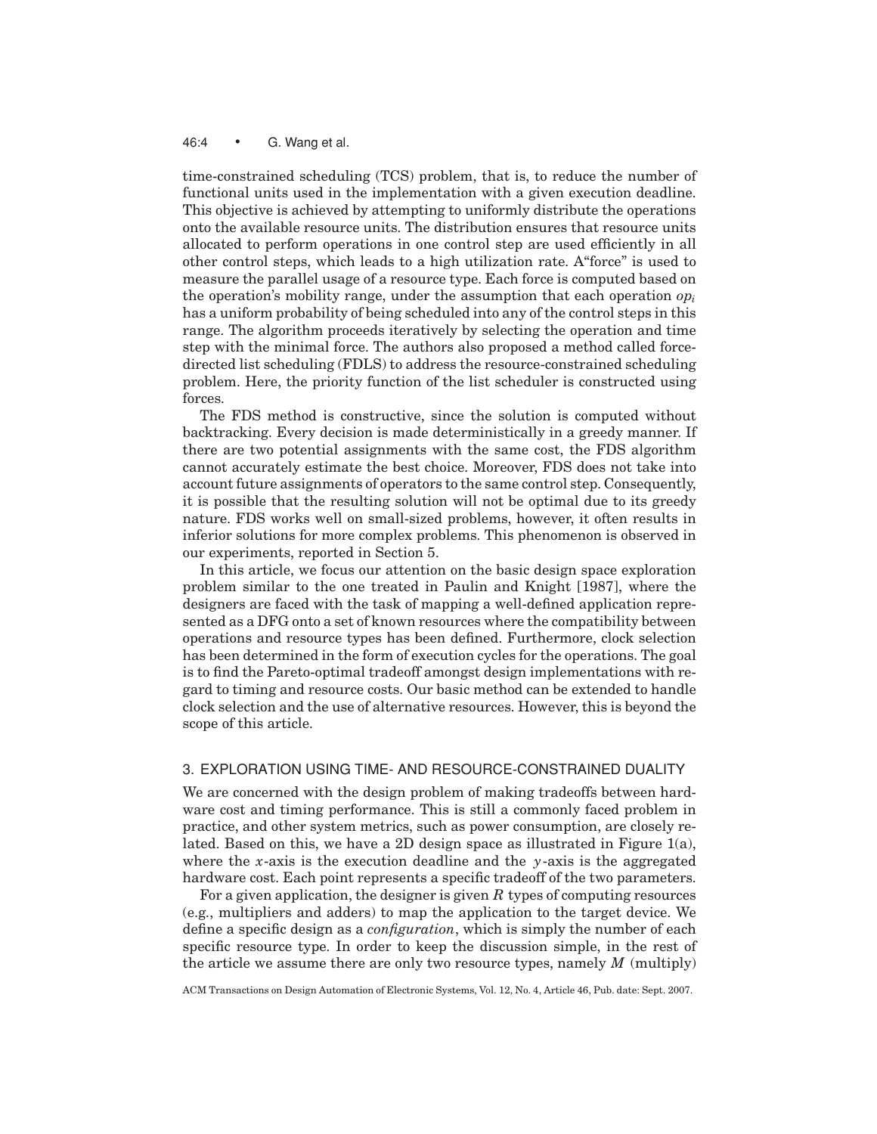#### 46:4 • G. Wang et al.

time-constrained scheduling (TCS) problem, that is, to reduce the number of functional units used in the implementation with a given execution deadline. This objective is achieved by attempting to uniformly distribute the operations onto the available resource units. The distribution ensures that resource units allocated to perform operations in one control step are used efficiently in all other control steps, which leads to a high utilization rate. A"force" is used to measure the parallel usage of a resource type. Each force is computed based on the operation's mobility range, under the assumption that each operation  $op_i$ has a uniform probability of being scheduled into any of the control steps in this range. The algorithm proceeds iteratively by selecting the operation and time step with the minimal force. The authors also proposed a method called forcedirected list scheduling (FDLS) to address the resource-constrained scheduling problem. Here, the priority function of the list scheduler is constructed using forces.

The FDS method is constructive, since the solution is computed without backtracking. Every decision is made deterministically in a greedy manner. If there are two potential assignments with the same cost, the FDS algorithm cannot accurately estimate the best choice. Moreover, FDS does not take into account future assignments of operators to the same control step. Consequently, it is possible that the resulting solution will not be optimal due to its greedy nature. FDS works well on small-sized problems, however, it often results in inferior solutions for more complex problems. This phenomenon is observed in our experiments, reported in Section 5.

In this article, we focus our attention on the basic design space exploration problem similar to the one treated in Paulin and Knight [1987], where the designers are faced with the task of mapping a well-defined application represented as a DFG onto a set of known resources where the compatibility between operations and resource types has been defined. Furthermore, clock selection has been determined in the form of execution cycles for the operations. The goal is to find the Pareto-optimal tradeoff amongst design implementations with regard to timing and resource costs. Our basic method can be extended to handle clock selection and the use of alternative resources. However, this is beyond the scope of this article.

## 3. EXPLORATION USING TIME- AND RESOURCE-CONSTRAINED DUALITY

We are concerned with the design problem of making tradeoffs between hardware cost and timing performance. This is still a commonly faced problem in practice, and other system metrics, such as power consumption, are closely related. Based on this, we have a 2D design space as illustrated in Figure 1(a), where the *x*-axis is the execution deadline and the *y*-axis is the aggregated hardware cost. Each point represents a specific tradeoff of the two parameters.

For a given application, the designer is given *R* types of computing resources (e.g., multipliers and adders) to map the application to the target device. We define a specific design as a *configuration*, which is simply the number of each specific resource type. In order to keep the discussion simple, in the rest of the article we assume there are only two resource types, namely *M* (multiply)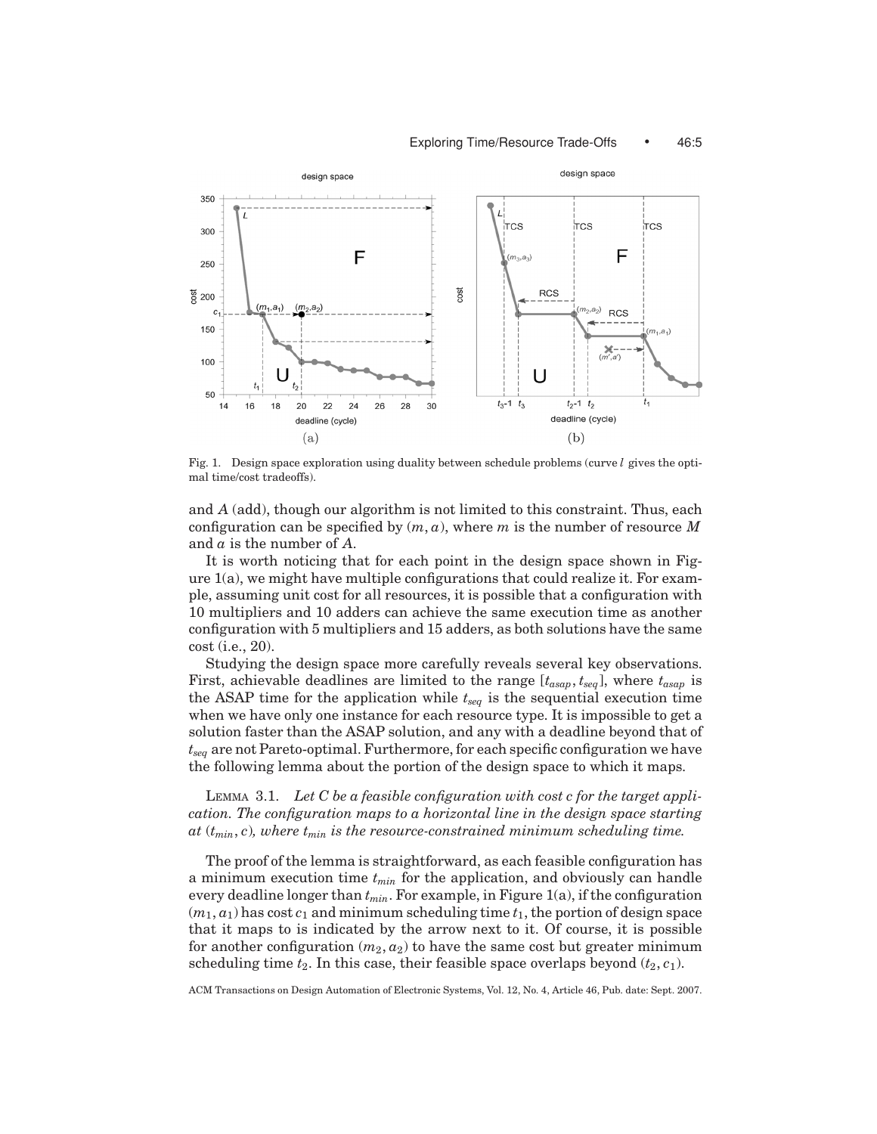#### Exploring Time/Resource Trade-Offs • 46:5



Fig. 1. Design space exploration using duality between schedule problems (curve *l* gives the optimal time/cost tradeoffs).

and *A* (add), though our algorithm is not limited to this constraint. Thus, each configuration can be specified by  $(m, a)$ , where *m* is the number of resource *M* and *a* is the number of *A*.

It is worth noticing that for each point in the design space shown in Figure  $1(a)$ , we might have multiple configurations that could realize it. For example, assuming unit cost for all resources, it is possible that a configuration with 10 multipliers and 10 adders can achieve the same execution time as another configuration with 5 multipliers and 15 adders, as both solutions have the same cost (i.e., 20).

Studying the design space more carefully reveals several key observations. First, achievable deadlines are limited to the range  $[t_{asap}, t_{seq}]$ , where  $t_{asap}$  is the ASAP time for the application while  $t_{seq}$  is the sequential execution time when we have only one instance for each resource type. It is impossible to get a solution faster than the ASAP solution, and any with a deadline beyond that of *tseq* are not Pareto-optimal. Furthermore, for each specific configuration we have the following lemma about the portion of the design space to which it maps.

LEMMA 3.1. *Let C be a feasible configuration with cost c for the target application. The configuration maps to a horizontal line in the design space starting*  $at$   $(t_{min}, c)$ *, where*  $t_{min}$  *is the resource-constrained minimum scheduling time.* 

The proof of the lemma is straightforward, as each feasible configuration has a minimum execution time  $t_{min}$  for the application, and obviously can handle every deadline longer than  $t_{min}$ . For example, in Figure 1(a), if the configuration  $(m_1, a_1)$  has cost  $c_1$  and minimum scheduling time  $t_1$ , the portion of design space that it maps to is indicated by the arrow next to it. Of course, it is possible for another configuration  $(m_2, a_2)$  to have the same cost but greater minimum scheduling time  $t_2$ . In this case, their feasible space overlaps beyond  $(t_2, c_1)$ .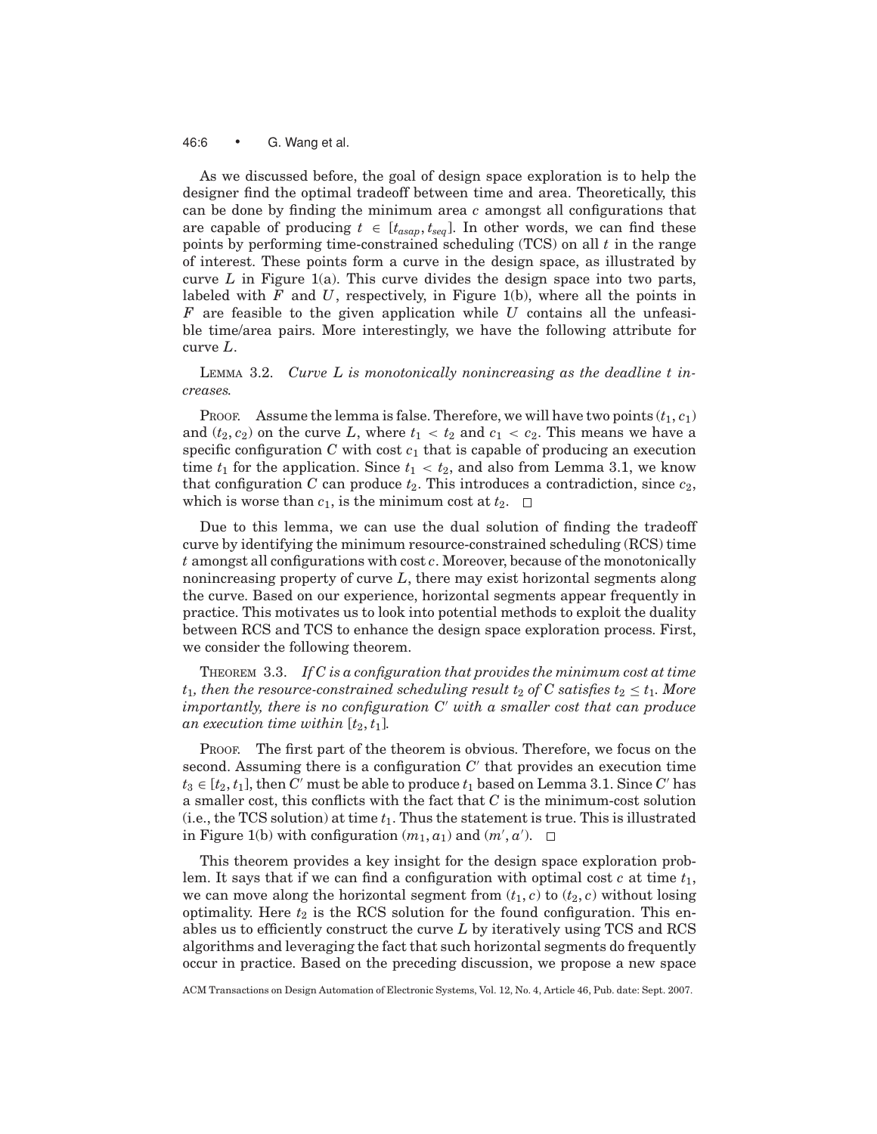#### 46:6 • G. Wang et al.

As we discussed before, the goal of design space exploration is to help the designer find the optimal tradeoff between time and area. Theoretically, this can be done by finding the minimum area *c* amongst all configurations that are capable of producing  $t \in [t_{asap}, t_{seq}]$ . In other words, we can find these points by performing time-constrained scheduling (TCS) on all *t* in the range of interest. These points form a curve in the design space, as illustrated by curve *L* in Figure 1(a). This curve divides the design space into two parts, labeled with  $F$  and  $U$ , respectively, in Figure 1(b), where all the points in *F* are feasible to the given application while *U* contains all the unfeasible time/area pairs. More interestingly, we have the following attribute for curve *L*.

LEMMA 3.2. *Curve L is monotonically nonincreasing as the deadline t increases.*

PROOF. Assume the lemma is false. Therefore, we will have two points  $(t_1, c_1)$ and  $(t_2, c_2)$  on the curve *L*, where  $t_1 < t_2$  and  $c_1 < c_2$ . This means we have a specific configuration  $C$  with cost  $c_1$  that is capable of producing an execution time  $t_1$  for the application. Since  $t_1 < t_2$ , and also from Lemma 3.1, we know that configuration *C* can produce  $t_2$ . This introduces a contradiction, since  $c_2$ , which is worse than  $c_1$ , is the minimum cost at  $t_2$ .  $\Box$ 

Due to this lemma, we can use the dual solution of finding the tradeoff curve by identifying the minimum resource-constrained scheduling (RCS) time *t* amongst all configurations with cost *c*. Moreover, because of the monotonically nonincreasing property of curve *L*, there may exist horizontal segments along the curve. Based on our experience, horizontal segments appear frequently in practice. This motivates us to look into potential methods to exploit the duality between RCS and TCS to enhance the design space exploration process. First, we consider the following theorem.

THEOREM 3.3. *If C is a configuration that provides the minimum cost at time t*<sub>1</sub>*, then the resource-constrained scheduling result*  $t_2$  *of C satisfies*  $t_2 \leq t_1$ *. More importantly, there is no configuration C' with a smaller cost that can produce an execution time within*  $[t_2, t_1]$ *.* 

PROOF. The first part of the theorem is obvious. Therefore, we focus on the second. Assuming there is a configuration  $C'$  that provides an execution time  $t_3 \in [t_2, t_1]$ , then *C'* must be able to produce  $t_1$  based on Lemma 3.1. Since *C'* has a smaller cost, this conflicts with the fact that *C* is the minimum-cost solution  $(i.e., the TCS solution)$  at time  $t<sub>1</sub>$ . Thus the statement is true. This is illustrated in Figure 1(b) with configuration  $(m_1, a_1)$  and  $(m', a')$ .

This theorem provides a key insight for the design space exploration problem. It says that if we can find a configuration with optimal cost *c* at time *t*1, we can move along the horizontal segment from  $(t_1, c)$  to  $(t_2, c)$  without losing optimality. Here  $t_2$  is the RCS solution for the found configuration. This enables us to efficiently construct the curve *L* by iteratively using TCS and RCS algorithms and leveraging the fact that such horizontal segments do frequently occur in practice. Based on the preceding discussion, we propose a new space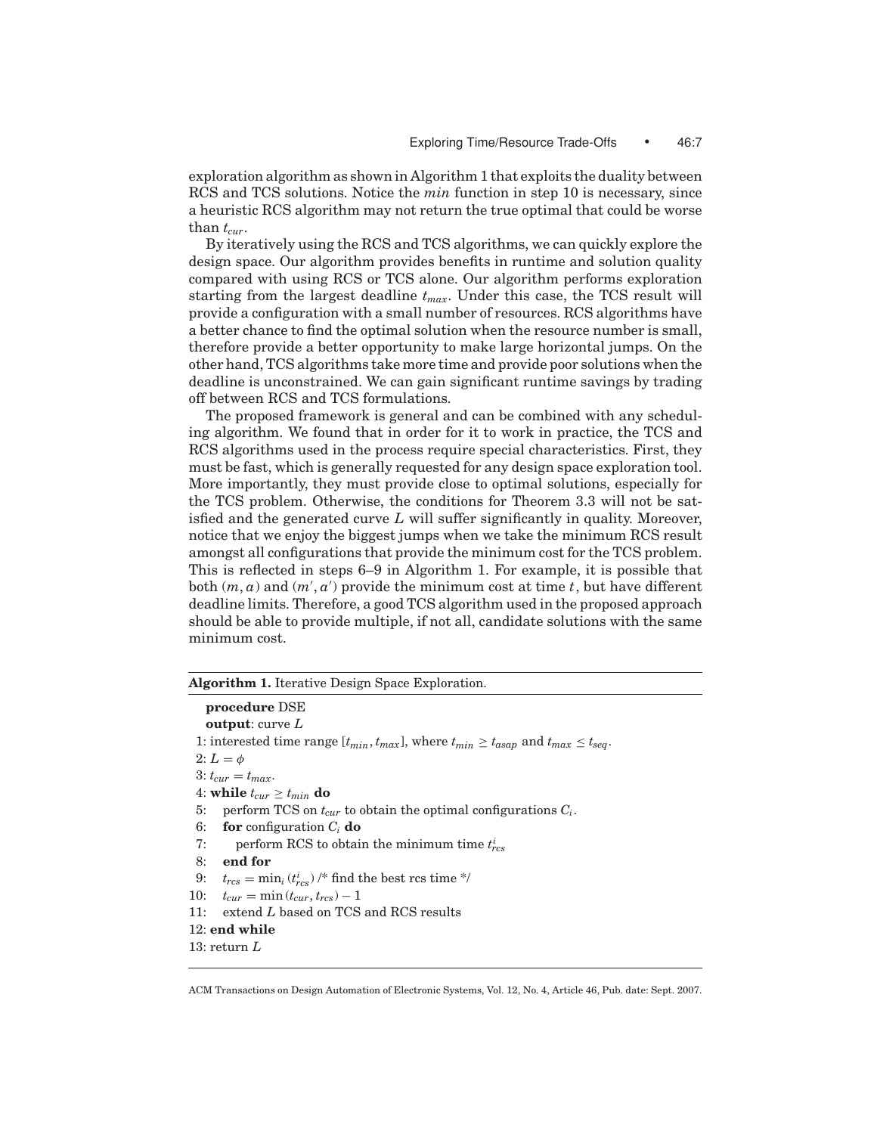exploration algorithm as shown in Algorithm 1 that exploits the duality between RCS and TCS solutions. Notice the *min* function in step 10 is necessary, since a heuristic RCS algorithm may not return the true optimal that could be worse than  $t_{cur}$ .

By iteratively using the RCS and TCS algorithms, we can quickly explore the design space. Our algorithm provides benefits in runtime and solution quality compared with using RCS or TCS alone. Our algorithm performs exploration starting from the largest deadline *tmax*. Under this case, the TCS result will provide a configuration with a small number of resources. RCS algorithms have a better chance to find the optimal solution when the resource number is small, therefore provide a better opportunity to make large horizontal jumps. On the other hand, TCS algorithms take more time and provide poor solutions when the deadline is unconstrained. We can gain significant runtime savings by trading off between RCS and TCS formulations.

The proposed framework is general and can be combined with any scheduling algorithm. We found that in order for it to work in practice, the TCS and RCS algorithms used in the process require special characteristics. First, they must be fast, which is generally requested for any design space exploration tool. More importantly, they must provide close to optimal solutions, especially for the TCS problem. Otherwise, the conditions for Theorem 3.3 will not be satisfied and the generated curve *L* will suffer significantly in quality. Moreover, notice that we enjoy the biggest jumps when we take the minimum RCS result amongst all configurations that provide the minimum cost for the TCS problem. This is reflected in steps 6–9 in Algorithm 1. For example, it is possible that both  $(m, a)$  and  $(m', a')$  provide the minimum cost at time  $t$ , but have different deadline limits. Therefore, a good TCS algorithm used in the proposed approach should be able to provide multiple, if not all, candidate solutions with the same minimum cost.

### **Algorithm 1.** Iterative Design Space Exploration.

**procedure** DSE **output**: curve *L* 1: interested time range  $[t_{min}, t_{max}]$ , where  $t_{min} \ge t_{asap}$  and  $t_{max} \le t_{seq}$ . 2:  $L = \phi$  $3: t_{cur} = t_{max}.$ 4: **while**  $t_{cur} \geq t_{min}$  **do** 5: perform TCS on  $t_{cur}$  to obtain the optimal configurations  $C_i$ . 6: **for** configuration  $C_i$  **do** 7: perform RCS to obtain the minimum time  $t_{res}^i$ 8: **end for** 9:  $t_{res} = \min_i (t_{res}^i)$  /\* find the best rcs time \*/ 10:  $t_{cur} = \min(t_{cur}, t_{rcs}) - 1$ 11: extend *L* based on TCS and RCS results 12: **end while** 13: return *L*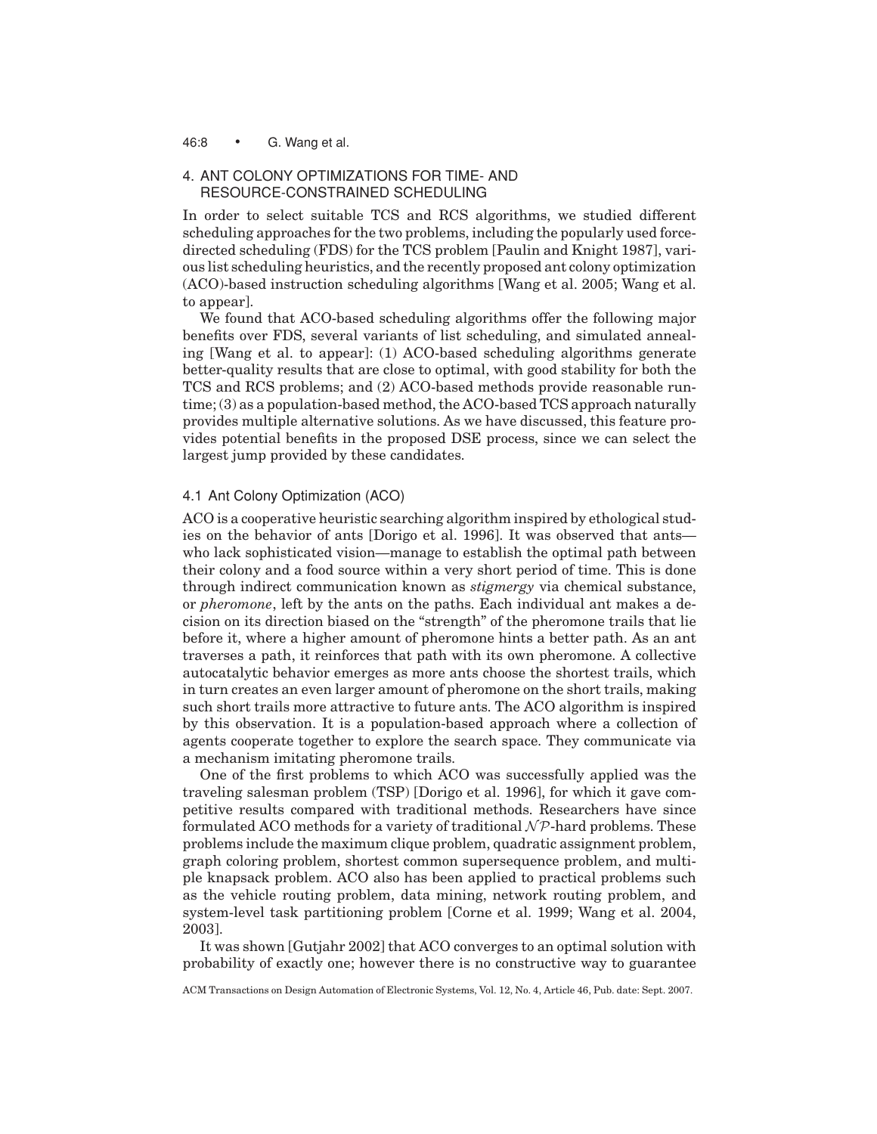## 46:8 • G. Wang et al.

# 4. ANT COLONY OPTIMIZATIONS FOR TIME- AND RESOURCE-CONSTRAINED SCHEDULING

In order to select suitable TCS and RCS algorithms, we studied different scheduling approaches for the two problems, including the popularly used forcedirected scheduling (FDS) for the TCS problem [Paulin and Knight 1987], various list scheduling heuristics, and the recently proposed ant colony optimization (ACO)-based instruction scheduling algorithms [Wang et al. 2005; Wang et al. to appear].

We found that ACO-based scheduling algorithms offer the following major benefits over FDS, several variants of list scheduling, and simulated annealing [Wang et al. to appear]: (1) ACO-based scheduling algorithms generate better-quality results that are close to optimal, with good stability for both the TCS and RCS problems; and (2) ACO-based methods provide reasonable runtime; (3) as a population-based method, the ACO-based TCS approach naturally provides multiple alternative solutions. As we have discussed, this feature provides potential benefits in the proposed DSE process, since we can select the largest jump provided by these candidates.

# 4.1 Ant Colony Optimization (ACO)

ACO is a cooperative heuristic searching algorithm inspired by ethological studies on the behavior of ants [Dorigo et al. 1996]. It was observed that ants who lack sophisticated vision—manage to establish the optimal path between their colony and a food source within a very short period of time. This is done through indirect communication known as *stigmergy* via chemical substance, or *pheromone*, left by the ants on the paths. Each individual ant makes a decision on its direction biased on the "strength" of the pheromone trails that lie before it, where a higher amount of pheromone hints a better path. As an ant traverses a path, it reinforces that path with its own pheromone. A collective autocatalytic behavior emerges as more ants choose the shortest trails, which in turn creates an even larger amount of pheromone on the short trails, making such short trails more attractive to future ants. The ACO algorithm is inspired by this observation. It is a population-based approach where a collection of agents cooperate together to explore the search space. They communicate via a mechanism imitating pheromone trails.

One of the first problems to which ACO was successfully applied was the traveling salesman problem (TSP) [Dorigo et al. 1996], for which it gave competitive results compared with traditional methods. Researchers have since formulated ACO methods for a variety of traditional  $N\mathcal{P}$ -hard problems. These problems include the maximum clique problem, quadratic assignment problem, graph coloring problem, shortest common supersequence problem, and multiple knapsack problem. ACO also has been applied to practical problems such as the vehicle routing problem, data mining, network routing problem, and system-level task partitioning problem [Corne et al. 1999; Wang et al. 2004, 2003].

It was shown [Gutjahr 2002] that ACO converges to an optimal solution with probability of exactly one; however there is no constructive way to guarantee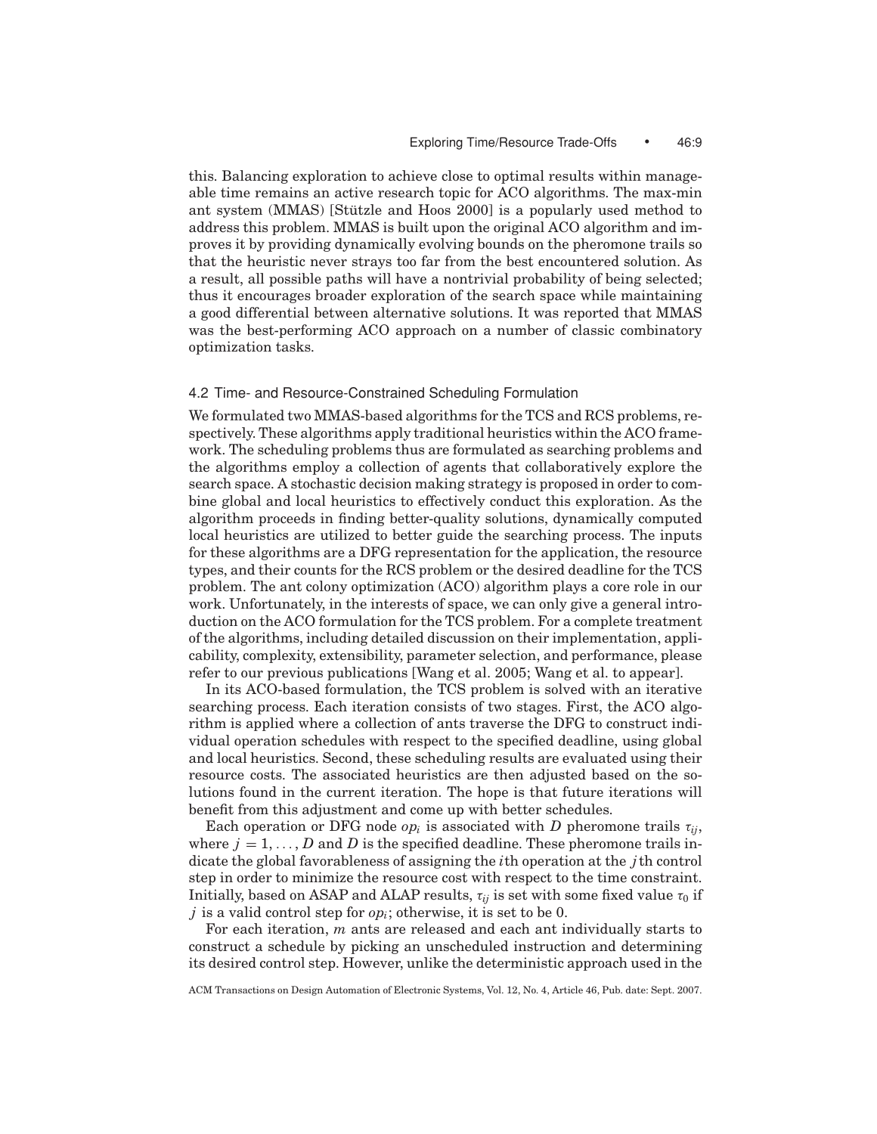this. Balancing exploration to achieve close to optimal results within manageable time remains an active research topic for ACO algorithms. The max-min ant system (MMAS) [Stützle and Hoos 2000] is a popularly used method to address this problem. MMAS is built upon the original ACO algorithm and improves it by providing dynamically evolving bounds on the pheromone trails so that the heuristic never strays too far from the best encountered solution. As a result, all possible paths will have a nontrivial probability of being selected; thus it encourages broader exploration of the search space while maintaining a good differential between alternative solutions. It was reported that MMAS was the best-performing ACO approach on a number of classic combinatory optimization tasks.

#### 4.2 Time- and Resource-Constrained Scheduling Formulation

We formulated two MMAS-based algorithms for the TCS and RCS problems, respectively. These algorithms apply traditional heuristics within the ACO framework. The scheduling problems thus are formulated as searching problems and the algorithms employ a collection of agents that collaboratively explore the search space. A stochastic decision making strategy is proposed in order to combine global and local heuristics to effectively conduct this exploration. As the algorithm proceeds in finding better-quality solutions, dynamically computed local heuristics are utilized to better guide the searching process. The inputs for these algorithms are a DFG representation for the application, the resource types, and their counts for the RCS problem or the desired deadline for the TCS problem. The ant colony optimization (ACO) algorithm plays a core role in our work. Unfortunately, in the interests of space, we can only give a general introduction on the ACO formulation for the TCS problem. For a complete treatment of the algorithms, including detailed discussion on their implementation, applicability, complexity, extensibility, parameter selection, and performance, please refer to our previous publications [Wang et al. 2005; Wang et al. to appear].

In its ACO-based formulation, the TCS problem is solved with an iterative searching process. Each iteration consists of two stages. First, the ACO algorithm is applied where a collection of ants traverse the DFG to construct individual operation schedules with respect to the specified deadline, using global and local heuristics. Second, these scheduling results are evaluated using their resource costs. The associated heuristics are then adjusted based on the solutions found in the current iteration. The hope is that future iterations will benefit from this adjustment and come up with better schedules.

Each operation or DFG node  $op_i$  is associated with *D* pheromone trails  $\tau_{ii}$ , where  $j = 1, \ldots, D$  and *D* is the specified deadline. These pheromone trails indicate the global favorableness of assigning the *i*th operation at the *j*th control step in order to minimize the resource cost with respect to the time constraint. Initially, based on ASAP and ALAP results,  $\tau_{ii}$  is set with some fixed value  $\tau_0$  if  $j$  is a valid control step for  $op_i$ ; otherwise, it is set to be 0.

For each iteration, *m* ants are released and each ant individually starts to construct a schedule by picking an unscheduled instruction and determining its desired control step. However, unlike the deterministic approach used in the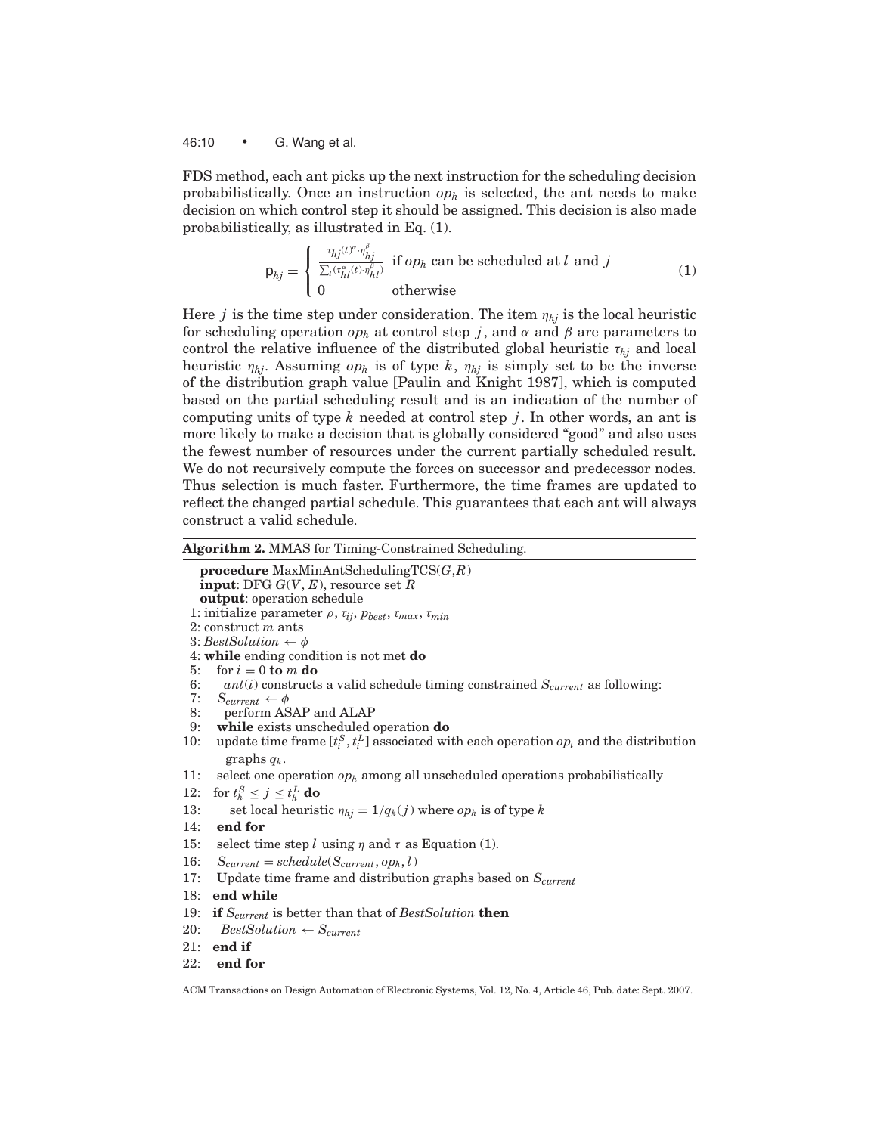46:10 • G. Wang et al.

FDS method, each ant picks up the next instruction for the scheduling decision probabilistically. Once an instruction *oph* is selected, the ant needs to make decision on which control step it should be assigned. This decision is also made probabilistically, as illustrated in Eq. (1).

$$
\mathsf{p}_{hj} = \begin{cases} \frac{\tau_{hj}(t)^{\alpha} \cdot \eta_{hj}^{\beta}}{\sum_{l} (\tau_{hl}^{\alpha}(t) \cdot \eta_{hl}^{\beta})} & \text{if } op_h \text{ can be scheduled at } l \text{ and } j\\ 0 & \text{otherwise} \end{cases}
$$
(1)

Here *j* is the time step under consideration. The item  $\eta_{hi}$  is the local heuristic for scheduling operation  $op_h$  at control step *j*, and  $\alpha$  and  $\beta$  are parameters to control the relative influence of the distributed global heuristic  $\tau_{hj}$  and local heuristic η*hj*. Assuming *oph* is of type *k*, η*hj* is simply set to be the inverse of the distribution graph value [Paulin and Knight 1987], which is computed based on the partial scheduling result and is an indication of the number of computing units of type *k* needed at control step *j*. In other words, an ant is more likely to make a decision that is globally considered "good" and also uses the fewest number of resources under the current partially scheduled result. We do not recursively compute the forces on successor and predecessor nodes. Thus selection is much faster. Furthermore, the time frames are updated to reflect the changed partial schedule. This guarantees that each ant will always construct a valid schedule.

| <b>Algorithm 2.</b> MMAS for Timing-Constrained Scheduling.                                          |  |  |  |  |  |
|------------------------------------------------------------------------------------------------------|--|--|--|--|--|
| <b>procedure</b> MaxMinAntSchedulingTCS $(G,R)$                                                      |  |  |  |  |  |
| <b>input:</b> DFG $G(V, E)$ , resource set R                                                         |  |  |  |  |  |
| <b>output:</b> operation schedule                                                                    |  |  |  |  |  |
| 1: initialize parameter $\rho$ , $\tau_{ij}$ , $p_{best}$ , $\tau_{max}$ , $\tau_{min}$              |  |  |  |  |  |
| 2: construct $m$ ants<br>3: BestSolution $\leftarrow \phi$                                           |  |  |  |  |  |
| 4: while ending condition is not met $do$                                                            |  |  |  |  |  |
| for $i=0$ to m do<br>5:                                                                              |  |  |  |  |  |
| $ant(i)$ constructs a valid schedule timing constrained $S_{current}$ as following:<br>6:            |  |  |  |  |  |
| 7:<br>$S_{current} \leftarrow \phi$                                                                  |  |  |  |  |  |
| 8:<br>perform ASAP and ALAP                                                                          |  |  |  |  |  |
| 9:<br>while exists unscheduled operation do                                                          |  |  |  |  |  |
| update time frame $[t_i^S, t_i^L]$ associated with each operation $op_i$ and the distribution<br>10: |  |  |  |  |  |
| graphs $q_k$ .                                                                                       |  |  |  |  |  |
| 11:<br>select one operation $oph$ among all unscheduled operations probabilistically                 |  |  |  |  |  |
| for $t_h^S \leq j \leq t_h^L$ do<br>12:                                                              |  |  |  |  |  |
| 13:<br>set local heuristic $\eta_{hj} = 1/q_h(j)$ where $op_h$ is of type k                          |  |  |  |  |  |
| 14:<br>end for                                                                                       |  |  |  |  |  |
| 15:<br>select time step l using $\eta$ and $\tau$ as Equation (1).                                   |  |  |  |  |  |
| 16:<br>$S_{current} = schedule(S_{current}, op_h, l)$                                                |  |  |  |  |  |
| 17:<br>Update time frame and distribution graphs based on $Scurrent$                                 |  |  |  |  |  |
| end while<br>18:                                                                                     |  |  |  |  |  |
| 19:<br><b>if</b> $S_{current}$ is better than that of <i>BestSolution</i> then                       |  |  |  |  |  |
| $BestSolution \leftarrow S_{current}$<br>20:                                                         |  |  |  |  |  |
| 21:<br>end if                                                                                        |  |  |  |  |  |
| 22:<br>end for                                                                                       |  |  |  |  |  |
|                                                                                                      |  |  |  |  |  |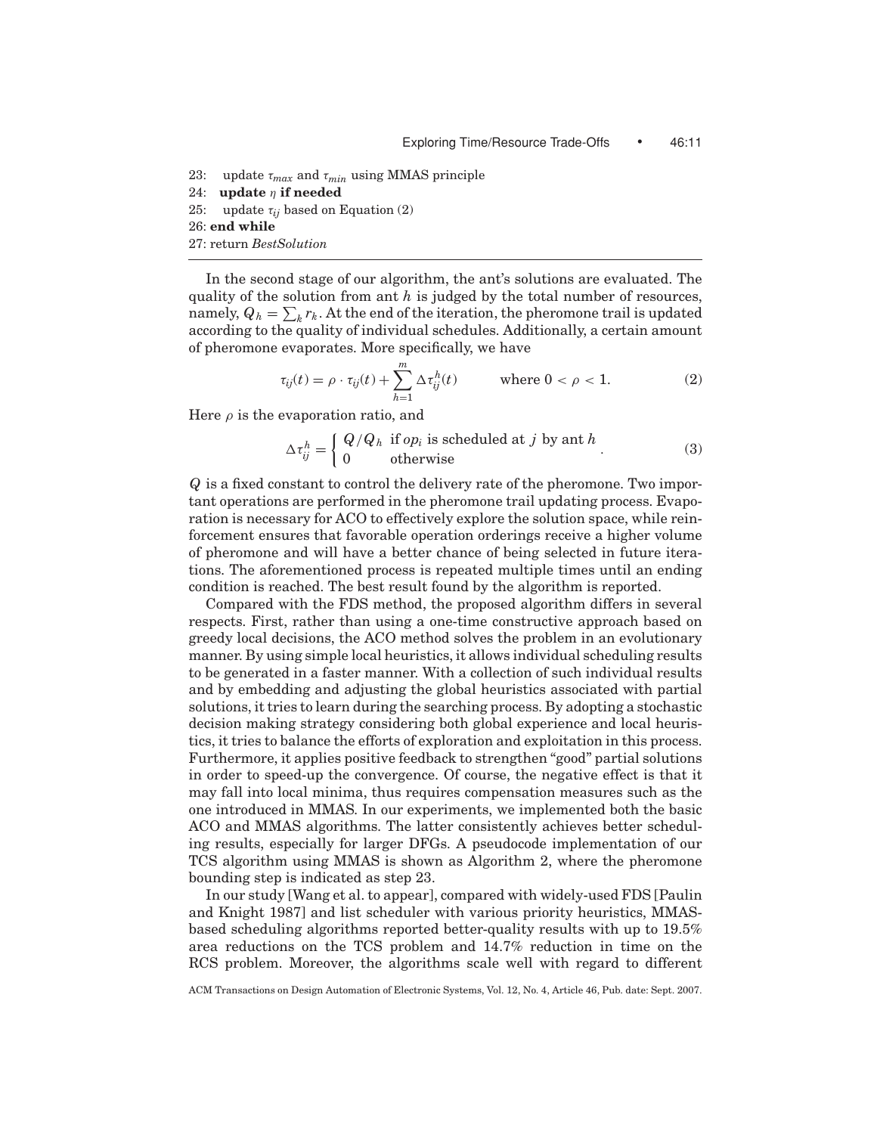23: update  $\tau_{max}$  and  $\tau_{min}$  using MMAS principle 24: **update** η **if needed** 25: update  $\tau_{ii}$  based on Equation (2) 26: **end while** 27: return *BestSolution*

In the second stage of our algorithm, the ant's solutions are evaluated. The quality of the solution from ant *h* is judged by the total number of resources, namely,  $Q_h = \sum_k r_k$  . At the end of the iteration, the pheromone trail is updated according to the quality of individual schedules. Additionally, a certain amount of pheromone evaporates. More specifically, we have

$$
\tau_{ij}(t) = \rho \cdot \tau_{ij}(t) + \sum_{h=1}^{m} \Delta \tau_{ij}^{h}(t) \quad \text{where } 0 < \rho < 1. \tag{2}
$$

Here  $\rho$  is the evaporation ratio, and

$$
\Delta \tau_{ij}^h = \begin{cases} Q/Q_h & \text{if } op_i \text{ is scheduled at } j \text{ by ant } h \\ 0 & \text{otherwise} \end{cases}
$$
 (3)

*Q* is a fixed constant to control the delivery rate of the pheromone. Two important operations are performed in the pheromone trail updating process. Evaporation is necessary for ACO to effectively explore the solution space, while reinforcement ensures that favorable operation orderings receive a higher volume of pheromone and will have a better chance of being selected in future iterations. The aforementioned process is repeated multiple times until an ending condition is reached. The best result found by the algorithm is reported.

Compared with the FDS method, the proposed algorithm differs in several respects. First, rather than using a one-time constructive approach based on greedy local decisions, the ACO method solves the problem in an evolutionary manner. By using simple local heuristics, it allows individual scheduling results to be generated in a faster manner. With a collection of such individual results and by embedding and adjusting the global heuristics associated with partial solutions, it tries to learn during the searching process. By adopting a stochastic decision making strategy considering both global experience and local heuristics, it tries to balance the efforts of exploration and exploitation in this process. Furthermore, it applies positive feedback to strengthen "good" partial solutions in order to speed-up the convergence. Of course, the negative effect is that it may fall into local minima, thus requires compensation measures such as the one introduced in MMAS. In our experiments, we implemented both the basic ACO and MMAS algorithms. The latter consistently achieves better scheduling results, especially for larger DFGs. A pseudocode implementation of our TCS algorithm using MMAS is shown as Algorithm 2, where the pheromone bounding step is indicated as step 23.

In our study [Wang et al. to appear], compared with widely-used FDS [Paulin and Knight 1987] and list scheduler with various priority heuristics, MMASbased scheduling algorithms reported better-quality results with up to 19.5% area reductions on the TCS problem and 14.7% reduction in time on the RCS problem. Moreover, the algorithms scale well with regard to different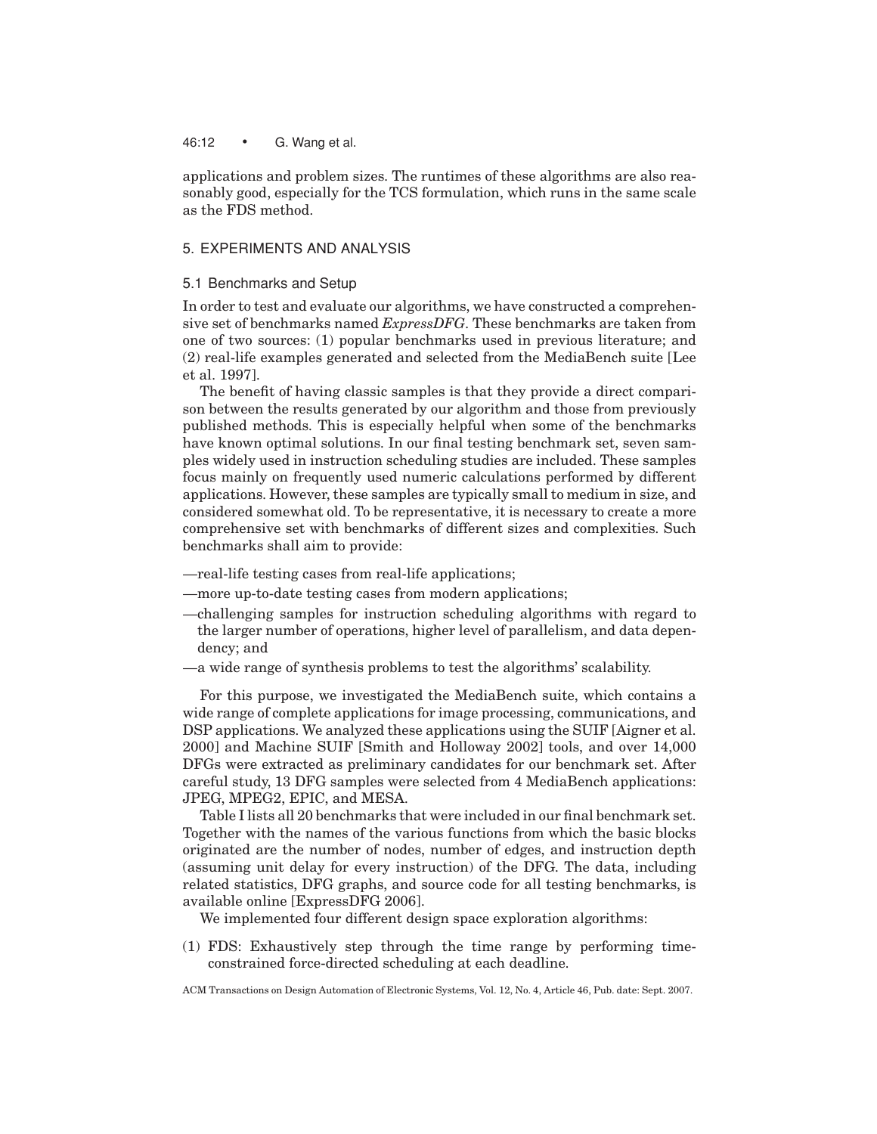### 46:12 • G. Wang et al.

applications and problem sizes. The runtimes of these algorithms are also reasonably good, especially for the TCS formulation, which runs in the same scale as the FDS method.

## 5. EXPERIMENTS AND ANALYSIS

#### 5.1 Benchmarks and Setup

In order to test and evaluate our algorithms, we have constructed a comprehensive set of benchmarks named *ExpressDFG*. These benchmarks are taken from one of two sources: (1) popular benchmarks used in previous literature; and (2) real-life examples generated and selected from the MediaBench suite [Lee et al. 1997].

The benefit of having classic samples is that they provide a direct comparison between the results generated by our algorithm and those from previously published methods. This is especially helpful when some of the benchmarks have known optimal solutions. In our final testing benchmark set, seven samples widely used in instruction scheduling studies are included. These samples focus mainly on frequently used numeric calculations performed by different applications. However, these samples are typically small to medium in size, and considered somewhat old. To be representative, it is necessary to create a more comprehensive set with benchmarks of different sizes and complexities. Such benchmarks shall aim to provide:

- —real-life testing cases from real-life applications;
- —more up-to-date testing cases from modern applications;
- —challenging samples for instruction scheduling algorithms with regard to the larger number of operations, higher level of parallelism, and data dependency; and
- —a wide range of synthesis problems to test the algorithms' scalability.

For this purpose, we investigated the MediaBench suite, which contains a wide range of complete applications for image processing, communications, and DSP applications. We analyzed these applications using the SUIF [Aigner et al. 2000] and Machine SUIF [Smith and Holloway 2002] tools, and over 14,000 DFGs were extracted as preliminary candidates for our benchmark set. After careful study, 13 DFG samples were selected from 4 MediaBench applications: JPEG, MPEG2, EPIC, and MESA.

Table I lists all 20 benchmarks that were included in our final benchmark set. Together with the names of the various functions from which the basic blocks originated are the number of nodes, number of edges, and instruction depth (assuming unit delay for every instruction) of the DFG. The data, including related statistics, DFG graphs, and source code for all testing benchmarks, is available online [ExpressDFG 2006].

We implemented four different design space exploration algorithms:

(1) FDS: Exhaustively step through the time range by performing timeconstrained force-directed scheduling at each deadline.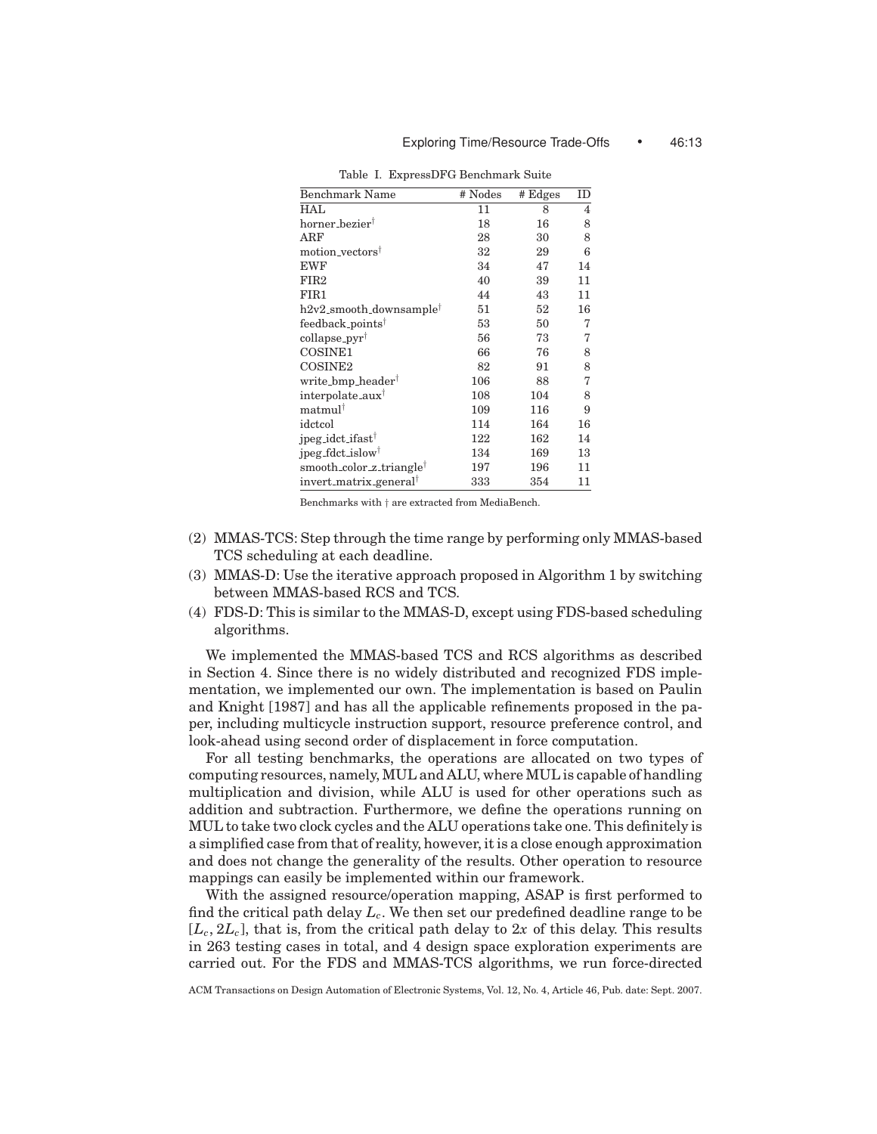#### Exploring Time/Resource Trade-Offs • 46:13

| <b>Benchmark Name</b>                                    | # Nodes | $\#$ Edges | ID |
|----------------------------------------------------------|---------|------------|----|
| <b>HAL</b>                                               | 11      | 8          | 4  |
| horner bezier <sup>†</sup>                               | 18      | 16         | 8  |
| ARF                                                      | 28      | 30         | 8  |
| motion_vectors <sup>†</sup>                              | 32      | 29         | 6  |
| <b>EWF</b>                                               | 34      | 47         | 14 |
| FIR <sub>2</sub>                                         | 40      | 39         | 11 |
| FIR1                                                     | 44      | 43         | 11 |
| $h2v2$ smooth downsample <sup><math>\bar{ }</math></sup> | 51      | 52         | 16 |
| feedback_points <sup>†</sup>                             | 53      | 50         | 7  |
| collapse_pyr <sup>†</sup>                                | 56      | 73         | 7  |
| COSINE1                                                  | 66      | 76         | 8  |
| COSINE <sub>2</sub>                                      | 82      | 91         | 8  |
| write_bmp_header <sup>†</sup>                            | 106     | 88         | 7  |
| interpolate_aux <sup>†</sup>                             | 108     | 104        | 8  |
| $\text{matmul}^{\dagger}$                                | 109     | 116        | 9  |
| idctcol                                                  | 114     | 164        | 16 |
| jpeg_idct_ifast <sup>†</sup>                             | 122     | 162        | 14 |
| jpeg_fdct_islow <sup>†</sup>                             | 134     | 169        | 13 |
| smooth color z triangle <sup>†</sup>                     | 197     | 196        | 11 |
| invert_matrix_general <sup>†</sup>                       | 333     | 354        | 11 |

Table I. ExpressDFG Benchmark Suite

Benchmarks with † are extracted from MediaBench.

- (2) MMAS-TCS: Step through the time range by performing only MMAS-based TCS scheduling at each deadline.
- (3) MMAS-D: Use the iterative approach proposed in Algorithm 1 by switching between MMAS-based RCS and TCS.
- (4) FDS-D: This is similar to the MMAS-D, except using FDS-based scheduling algorithms.

We implemented the MMAS-based TCS and RCS algorithms as described in Section 4. Since there is no widely distributed and recognized FDS implementation, we implemented our own. The implementation is based on Paulin and Knight [1987] and has all the applicable refinements proposed in the paper, including multicycle instruction support, resource preference control, and look-ahead using second order of displacement in force computation.

For all testing benchmarks, the operations are allocated on two types of computing resources, namely, MUL and ALU, where MUL is capable of handling multiplication and division, while ALU is used for other operations such as addition and subtraction. Furthermore, we define the operations running on MUL to take two clock cycles and the ALU operations take one. This definitely is a simplified case from that of reality, however, it is a close enough approximation and does not change the generality of the results. Other operation to resource mappings can easily be implemented within our framework.

With the assigned resource/operation mapping, ASAP is first performed to find the critical path delay  $L_c$ . We then set our predefined deadline range to be  $[L_c, 2L_c]$ , that is, from the critical path delay to 2*x* of this delay. This results in 263 testing cases in total, and 4 design space exploration experiments are carried out. For the FDS and MMAS-TCS algorithms, we run force-directed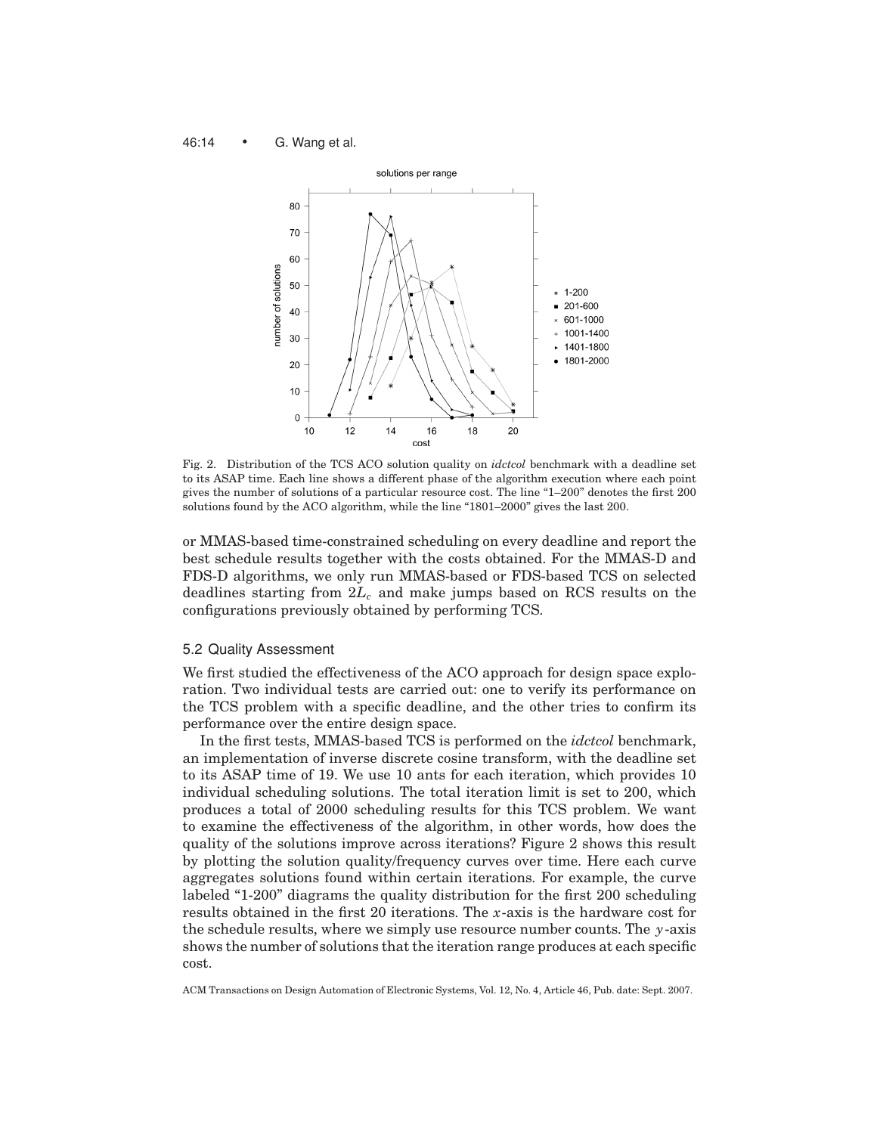46:14 • G. Wang et al.



Fig. 2. Distribution of the TCS ACO solution quality on *idctcol* benchmark with a deadline set to its ASAP time. Each line shows a different phase of the algorithm execution where each point gives the number of solutions of a particular resource cost. The line "1–200" denotes the first 200 solutions found by the ACO algorithm, while the line "1801–2000" gives the last 200.

or MMAS-based time-constrained scheduling on every deadline and report the best schedule results together with the costs obtained. For the MMAS-D and FDS-D algorithms, we only run MMAS-based or FDS-based TCS on selected deadlines starting from 2*Lc* and make jumps based on RCS results on the configurations previously obtained by performing TCS.

#### 5.2 Quality Assessment

We first studied the effectiveness of the ACO approach for design space exploration. Two individual tests are carried out: one to verify its performance on the TCS problem with a specific deadline, and the other tries to confirm its performance over the entire design space.

In the first tests, MMAS-based TCS is performed on the *idctcol* benchmark, an implementation of inverse discrete cosine transform, with the deadline set to its ASAP time of 19. We use 10 ants for each iteration, which provides 10 individual scheduling solutions. The total iteration limit is set to 200, which produces a total of 2000 scheduling results for this TCS problem. We want to examine the effectiveness of the algorithm, in other words, how does the quality of the solutions improve across iterations? Figure 2 shows this result by plotting the solution quality/frequency curves over time. Here each curve aggregates solutions found within certain iterations. For example, the curve labeled "1-200" diagrams the quality distribution for the first 200 scheduling results obtained in the first 20 iterations. The *x*-axis is the hardware cost for the schedule results, where we simply use resource number counts. The *y*-axis shows the number of solutions that the iteration range produces at each specific cost.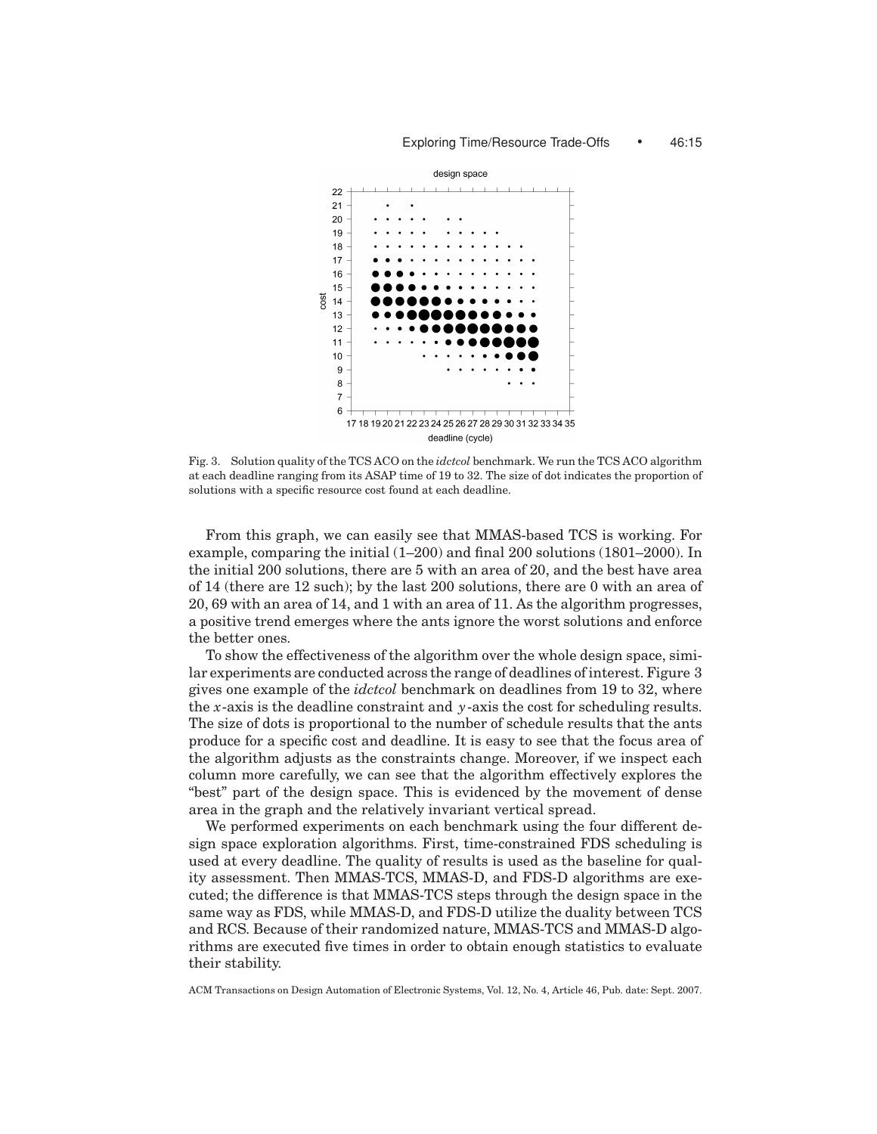#### Exploring Time/Resource Trade-Offs • 46:15



Fig. 3. Solution quality of the TCS ACO on the *idctcol* benchmark. We run the TCS ACO algorithm at each deadline ranging from its ASAP time of 19 to 32. The size of dot indicates the proportion of solutions with a specific resource cost found at each deadline.

From this graph, we can easily see that MMAS-based TCS is working. For example, comparing the initial (1–200) and final 200 solutions (1801–2000). In the initial 200 solutions, there are 5 with an area of 20, and the best have area of 14 (there are 12 such); by the last 200 solutions, there are 0 with an area of 20, 69 with an area of 14, and 1 with an area of 11. As the algorithm progresses, a positive trend emerges where the ants ignore the worst solutions and enforce the better ones.

To show the effectiveness of the algorithm over the whole design space, similar experiments are conducted across the range of deadlines of interest. Figure 3 gives one example of the *idctcol* benchmark on deadlines from 19 to 32, where the *x*-axis is the deadline constraint and *y*-axis the cost for scheduling results. The size of dots is proportional to the number of schedule results that the ants produce for a specific cost and deadline. It is easy to see that the focus area of the algorithm adjusts as the constraints change. Moreover, if we inspect each column more carefully, we can see that the algorithm effectively explores the "best" part of the design space. This is evidenced by the movement of dense area in the graph and the relatively invariant vertical spread.

We performed experiments on each benchmark using the four different design space exploration algorithms. First, time-constrained FDS scheduling is used at every deadline. The quality of results is used as the baseline for quality assessment. Then MMAS-TCS, MMAS-D, and FDS-D algorithms are executed; the difference is that MMAS-TCS steps through the design space in the same way as FDS, while MMAS-D, and FDS-D utilize the duality between TCS and RCS. Because of their randomized nature, MMAS-TCS and MMAS-D algorithms are executed five times in order to obtain enough statistics to evaluate their stability.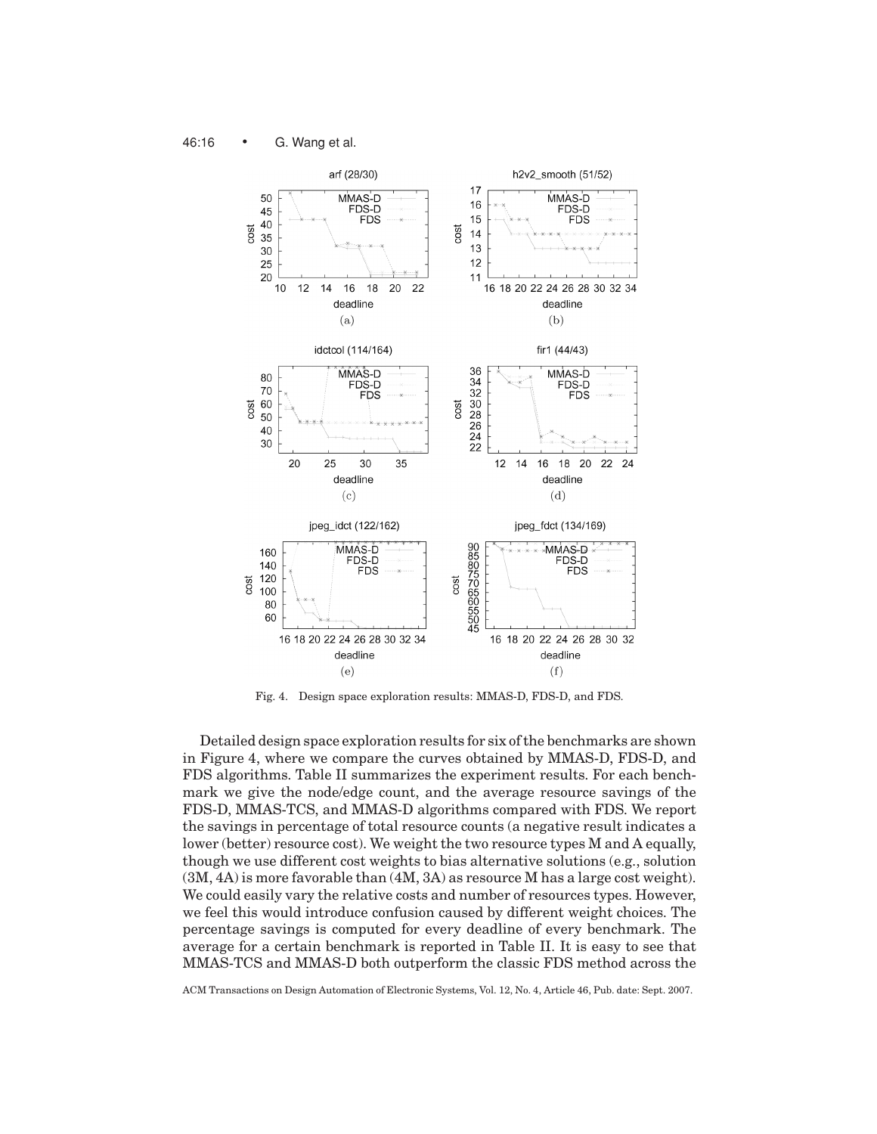#### 46:16 • G. Wang et al.



Fig. 4. Design space exploration results: MMAS-D, FDS-D, and FDS.

Detailed design space exploration results for six of the benchmarks are shown in Figure 4, where we compare the curves obtained by MMAS-D, FDS-D, and FDS algorithms. Table II summarizes the experiment results. For each benchmark we give the node/edge count, and the average resource savings of the FDS-D, MMAS-TCS, and MMAS-D algorithms compared with FDS. We report the savings in percentage of total resource counts (a negative result indicates a lower (better) resource cost). We weight the two resource types M and A equally, though we use different cost weights to bias alternative solutions (e.g., solution (3M, 4A) is more favorable than (4M, 3A) as resource M has a large cost weight). We could easily vary the relative costs and number of resources types. However, we feel this would introduce confusion caused by different weight choices. The percentage savings is computed for every deadline of every benchmark. The average for a certain benchmark is reported in Table II. It is easy to see that MMAS-TCS and MMAS-D both outperform the classic FDS method across the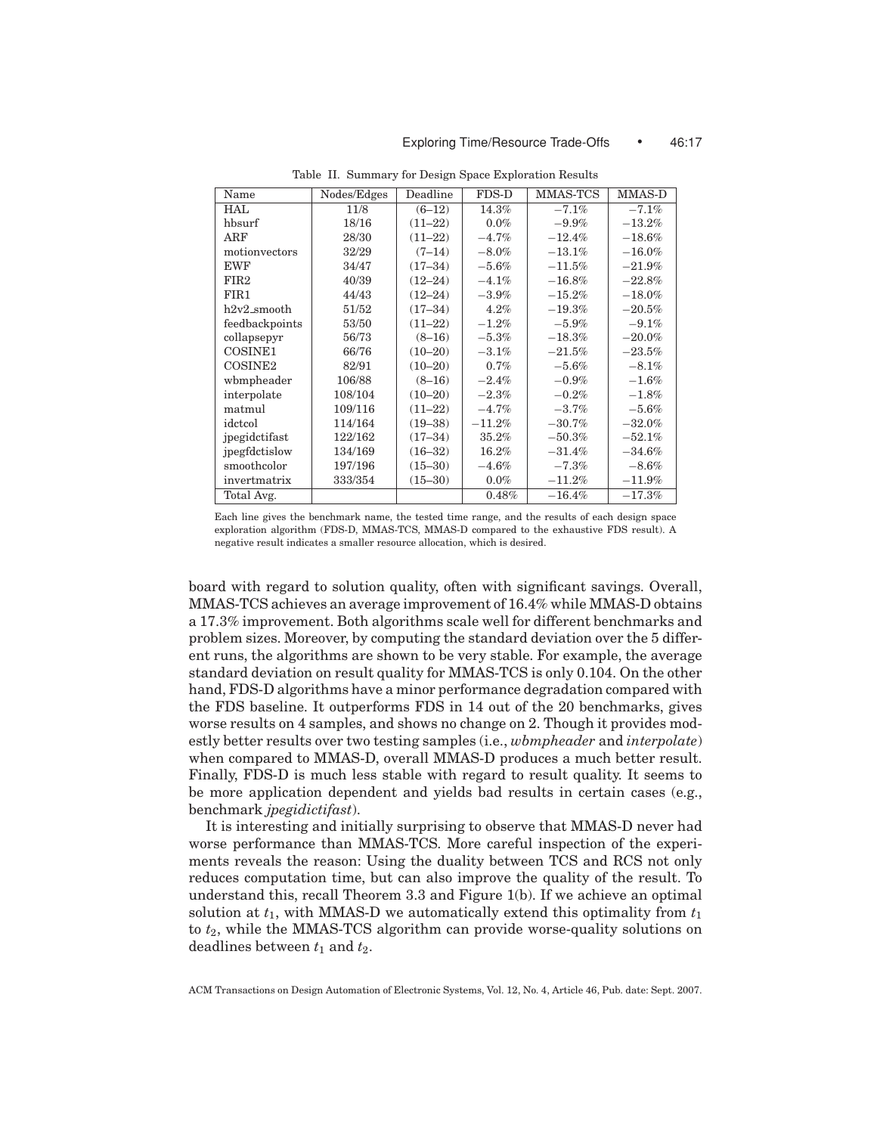| Name                | Nodes/Edges | Deadline    | FDS-D    | MMAS-TCS  | <b>MMAS-D</b> |
|---------------------|-------------|-------------|----------|-----------|---------------|
| HAL                 | 11/8        | $(6-12)$    | 14.3%    | $-7.1%$   | $-7.1%$       |
| hbsurf              | 18/16       | $(11-22)$   | 0.0%     | $-9.9%$   | $-13.2%$      |
| ARF                 | 28/30       | $(11-22)$   | $-4.7%$  | $-12.4%$  | $-18.6%$      |
| motionyectors       | 32/29       | $(7-14)$    | $-8.0\%$ | $-13.1%$  | $-16.0\%$     |
| <b>EWF</b>          | 34/47       | $(17-34)$   | $-5.6\%$ | $-11.5\%$ | $-21.9\%$     |
| FIR <sub>2</sub>    | 40/39       | $(12 - 24)$ | $-4.1%$  | $-16.8%$  | $-22.8%$      |
| FIR1                | 44/43       | $(12 - 24)$ | $-3.9%$  | $-15.2%$  | $-18.0\%$     |
| $h2v2$ _smooth      | 51/52       | $(17-34)$   | 4.2%     | $-19.3%$  | $-20.5%$      |
| feedbackpoints      | 53/50       | $(11-22)$   | $-1.2\%$ | $-5.9\%$  | $-9.1\%$      |
| collapsepyr         | 56/73       | $(8-16)$    | $-5.3%$  | $-18.3\%$ | $-20.0\%$     |
| COSINE1             | 66/76       | $(10-20)$   | $-3.1%$  | $-21.5%$  | $-23.5%$      |
| COSINE <sub>2</sub> | 82/91       | $(10-20)$   | 0.7%     | $-5.6\%$  | $-8.1\%$      |
| wbmpheader          | 106/88      | $(8-16)$    | $-2.4%$  | $-0.9\%$  | $-1.6%$       |
| interpolate         | 108/104     | $(10-20)$   | $-2.3%$  | $-0.2%$   | $-1.8%$       |
| matmul              | 109/116     | $(11-22)$   | $-4.7%$  | $-3.7%$   | $-5.6\%$      |
| idctcol             | 114/164     | $(19 - 38)$ | $-11.2%$ | $-30.7%$  | $-32.0%$      |
| jpegidctifast       | 122/162     | $(17-34)$   | 35.2%    | $-50.3\%$ | $-52.1\%$     |
| jpegfdctislow       | 134/169     | $(16 - 32)$ | 16.2%    | $-31.4%$  | $-34.6%$      |
| smoothcolor         | 197/196     | $(15 - 30)$ | $-4.6\%$ | $-7.3\%$  | $-8.6\%$      |
| invertmatrix        | 333/354     | $(15 - 30)$ | $0.0\%$  | $-11.2%$  | $-11.9%$      |
| Total Avg.          |             |             | 0.48%    | $-16.4%$  | $-17.3%$      |

Table II. Summary for Design Space Exploration Results

Each line gives the benchmark name, the tested time range, and the results of each design space exploration algorithm (FDS-D, MMAS-TCS, MMAS-D compared to the exhaustive FDS result). A negative result indicates a smaller resource allocation, which is desired.

board with regard to solution quality, often with significant savings. Overall, MMAS-TCS achieves an average improvement of 16.4% while MMAS-D obtains a 17.3% improvement. Both algorithms scale well for different benchmarks and problem sizes. Moreover, by computing the standard deviation over the 5 different runs, the algorithms are shown to be very stable. For example, the average standard deviation on result quality for MMAS-TCS is only 0.104. On the other hand, FDS-D algorithms have a minor performance degradation compared with the FDS baseline. It outperforms FDS in 14 out of the 20 benchmarks, gives worse results on 4 samples, and shows no change on 2. Though it provides modestly better results over two testing samples (i.e., *wbmpheader* and *interpolate*) when compared to MMAS-D, overall MMAS-D produces a much better result. Finally, FDS-D is much less stable with regard to result quality. It seems to be more application dependent and yields bad results in certain cases (e.g., benchmark *jpegidictifast*).

It is interesting and initially surprising to observe that MMAS-D never had worse performance than MMAS-TCS. More careful inspection of the experiments reveals the reason: Using the duality between TCS and RCS not only reduces computation time, but can also improve the quality of the result. To understand this, recall Theorem 3.3 and Figure 1(b). If we achieve an optimal solution at  $t_1$ , with MMAS-D we automatically extend this optimality from  $t_1$ to  $t_2$ , while the MMAS-TCS algorithm can provide worse-quality solutions on deadlines between  $t_1$  and  $t_2$ .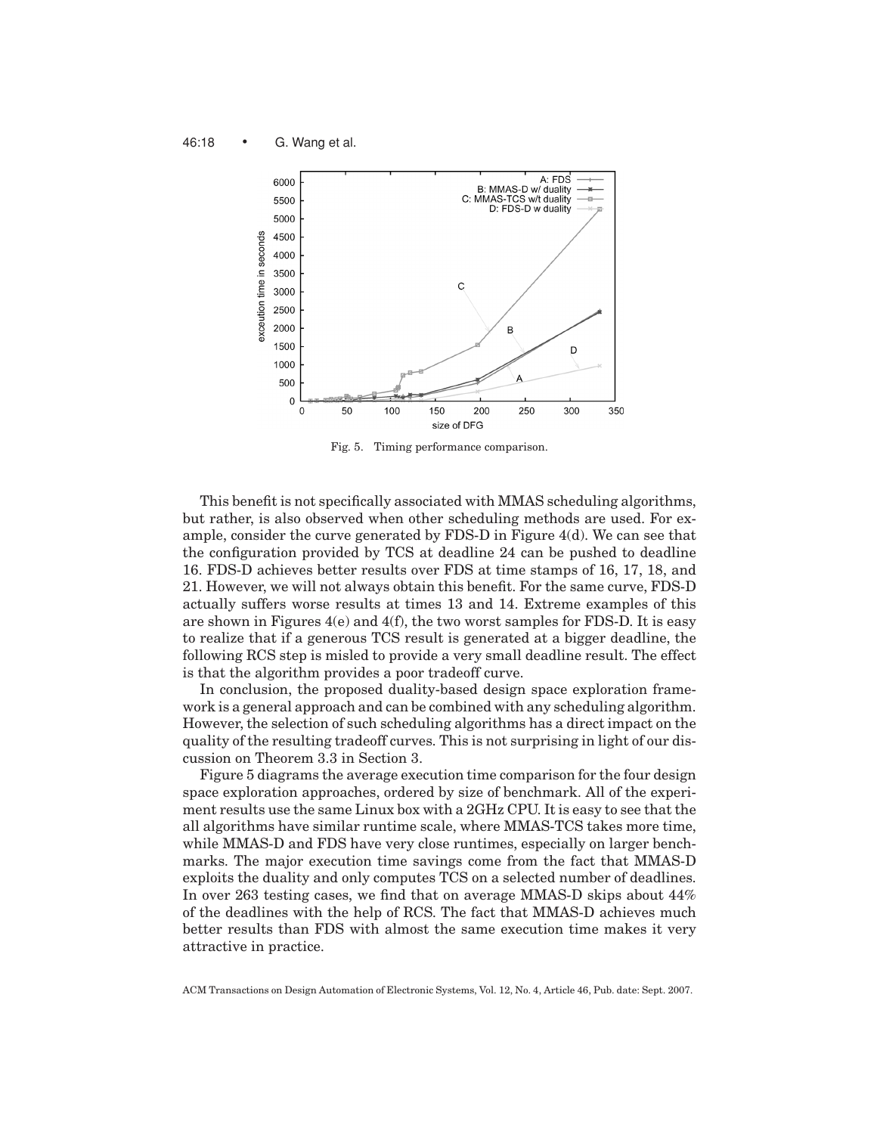

Fig. 5. Timing performance comparison.

This benefit is not specifically associated with MMAS scheduling algorithms, but rather, is also observed when other scheduling methods are used. For example, consider the curve generated by FDS-D in Figure 4(d). We can see that the configuration provided by TCS at deadline 24 can be pushed to deadline 16. FDS-D achieves better results over FDS at time stamps of 16, 17, 18, and 21. However, we will not always obtain this benefit. For the same curve, FDS-D actually suffers worse results at times 13 and 14. Extreme examples of this are shown in Figures 4(e) and 4(f), the two worst samples for FDS-D. It is easy to realize that if a generous TCS result is generated at a bigger deadline, the following RCS step is misled to provide a very small deadline result. The effect is that the algorithm provides a poor tradeoff curve.

In conclusion, the proposed duality-based design space exploration framework is a general approach and can be combined with any scheduling algorithm. However, the selection of such scheduling algorithms has a direct impact on the quality of the resulting tradeoff curves. This is not surprising in light of our discussion on Theorem 3.3 in Section 3.

Figure 5 diagrams the average execution time comparison for the four design space exploration approaches, ordered by size of benchmark. All of the experiment results use the same Linux box with a 2GHz CPU. It is easy to see that the all algorithms have similar runtime scale, where MMAS-TCS takes more time, while MMAS-D and FDS have very close runtimes, especially on larger benchmarks. The major execution time savings come from the fact that MMAS-D exploits the duality and only computes TCS on a selected number of deadlines. In over 263 testing cases, we find that on average MMAS-D skips about 44% of the deadlines with the help of RCS. The fact that MMAS-D achieves much better results than FDS with almost the same execution time makes it very attractive in practice.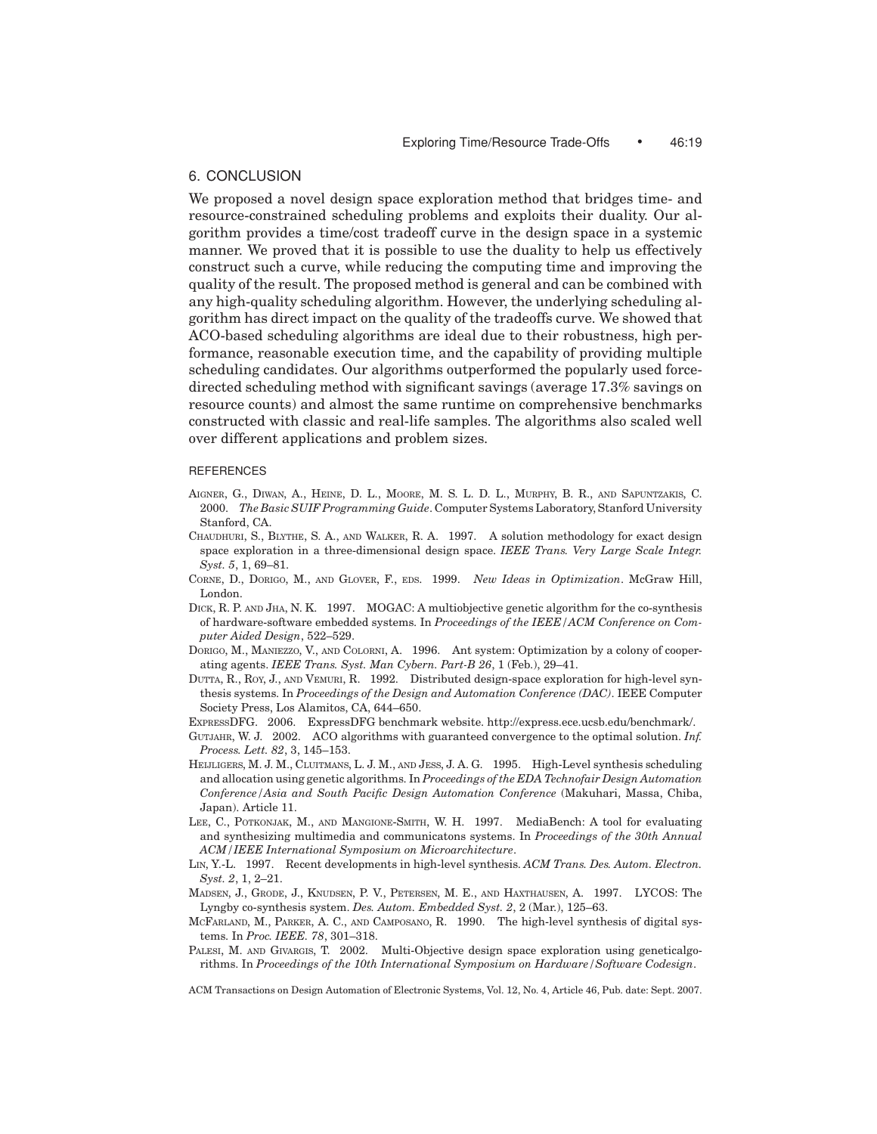## 6. CONCLUSION

We proposed a novel design space exploration method that bridges time- and resource-constrained scheduling problems and exploits their duality. Our algorithm provides a time/cost tradeoff curve in the design space in a systemic manner. We proved that it is possible to use the duality to help us effectively construct such a curve, while reducing the computing time and improving the quality of the result. The proposed method is general and can be combined with any high-quality scheduling algorithm. However, the underlying scheduling algorithm has direct impact on the quality of the tradeoffs curve. We showed that ACO-based scheduling algorithms are ideal due to their robustness, high performance, reasonable execution time, and the capability of providing multiple scheduling candidates. Our algorithms outperformed the popularly used forcedirected scheduling method with significant savings (average 17.3% savings on resource counts) and almost the same runtime on comprehensive benchmarks constructed with classic and real-life samples. The algorithms also scaled well over different applications and problem sizes.

#### **REFERENCES**

- AIGNER, G., DIWAN, A., HEINE, D. L., MOORE, M. S. L. D. L., MURPHY, B. R., AND SAPUNTZAKIS, C. 2000. *The Basic SUIF Programming Guide*. Computer Systems Laboratory, Stanford University Stanford, CA.
- CHAUDHURI, S., BLYTHE, S. A., AND WALKER, R. A. 1997. A solution methodology for exact design space exploration in a three-dimensional design space. *IEEE Trans. Very Large Scale Integr. Syst. 5*, 1, 69–81.
- CORNE, D., DORIGO, M., AND GLOVER, F., EDS. 1999. *New Ideas in Optimization*. McGraw Hill, London.
- DICK, R. P. AND JHA, N. K. 1997. MOGAC: A multiobjective genetic algorithm for the co-synthesis of hardware-software embedded systems. In *Proceedings of the IEEE/ACM Conference on Computer Aided Design*, 522–529.
- DORIGO, M., MANIEZZO, V., AND COLORNI, A. 1996. Ant system: Optimization by a colony of cooperating agents. *IEEE Trans. Syst. Man Cybern. Part-B 26*, 1 (Feb.), 29–41.
- DUTTA, R., ROY, J., AND VEMURI, R. 1992. Distributed design-space exploration for high-level synthesis systems. In *Proceedings of the Design and Automation Conference (DAC)*. IEEE Computer Society Press, Los Alamitos, CA, 644–650.
- EXPRESSDFG. 2006. ExpressDFG benchmark website. http://express.ece.ucsb.edu/benchmark/.
- GUTJAHR, W. J. 2002. ACO algorithms with guaranteed convergence to the optimal solution. *Inf. Process. Lett. 82*, 3, 145–153.
- HEIJLIGERS, M. J. M., CLUITMANS, L. J. M., AND JESS, J. A. G. 1995. High-Level synthesis scheduling and allocation using genetic algorithms. In *Proceedings of the EDA Technofair Design Automation Conference/Asia and South Pacific Design Automation Conference* (Makuhari, Massa, Chiba, Japan). Article 11.
- LEE, C., POTKONJAK, M., AND MANGIONE-SMITH, W. H. 1997. MediaBench: A tool for evaluating and synthesizing multimedia and communicatons systems. In *Proceedings of the 30th Annual ACM/IEEE International Symposium on Microarchitecture*.
- LIN, Y.-L. 1997. Recent developments in high-level synthesis. *ACM Trans. Des. Autom. Electron. Syst. 2*, 1, 2–21.
- MADSEN, J., GRODE, J., KNUDSEN, P. V., PETERSEN, M. E., AND HAXTHAUSEN, A. 1997. LYCOS: The Lyngby co-synthesis system. *Des. Autom. Embedded Syst. 2*, 2 (Mar.), 125–63.
- MCFARLAND, M., PARKER, A. C., AND CAMPOSANO, R. 1990. The high-level synthesis of digital systems. In *Proc. IEEE. 78*, 301–318.
- PALESI, M. AND GIVARGIS, T. 2002. Multi-Objective design space exploration using geneticalgorithms. In *Proceedings of the 10th International Symposium on Hardware/Software Codesign*.